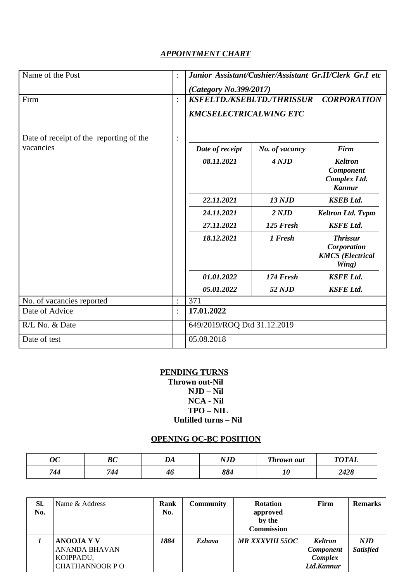## *APPOINTMENT CHART*

| Name of the Post                        | $\ddot{\cdot}$ | Junior Assistant/Cashier/Assistant Gr.II/Clerk Gr.I etc<br>(Category No.399/2017) |                |                                                                     |  |  |
|-----------------------------------------|----------------|-----------------------------------------------------------------------------------|----------------|---------------------------------------------------------------------|--|--|
| Firm                                    | $\ddot{\cdot}$ | KSFELTD./KSEBLTD./THRISSUR<br><b>CORPORATION</b><br><b>KMCSELECTRICALWING ETC</b> |                |                                                                     |  |  |
| Date of receipt of the reporting of the | $\ddot{\cdot}$ |                                                                                   |                |                                                                     |  |  |
| vacancies                               |                | Date of receipt                                                                   | No. of vacancy | <b>Firm</b>                                                         |  |  |
|                                         |                | 08.11.2021                                                                        | 4 NJD          | <b>Keltron</b><br><b>Component</b><br>Complex Ltd.<br><b>Kannur</b> |  |  |
|                                         |                | 22.11.2021                                                                        | <b>13 NJD</b>  | <b>KSEB Ltd.</b>                                                    |  |  |
|                                         |                | 24.11.2021                                                                        | 2 NJD          | <b>Keltron Ltd. Tvpm</b>                                            |  |  |
|                                         |                | 27.11.2021                                                                        | 125 Fresh      | <b>KSFE Ltd.</b>                                                    |  |  |
|                                         |                | 18.12.2021                                                                        | 1 Fresh        | <b>Thrissur</b><br>Corporation<br><b>KMCS</b> (Electrical<br>Wing)  |  |  |
|                                         |                | 01.01.2022                                                                        | 174 Fresh      | <b>KSFE Ltd.</b>                                                    |  |  |
|                                         |                | 05.01.2022                                                                        | 52 NJD         | <b>KSFE Ltd.</b>                                                    |  |  |
| No. of vacancies reported               | $\ddot{\cdot}$ | 371                                                                               |                |                                                                     |  |  |
| Date of Advice                          | $\ddot{\cdot}$ | 17.01.2022                                                                        |                |                                                                     |  |  |
| R/L No. & Date                          |                | 649/2019/ROQ Dtd 31.12.2019                                                       |                |                                                                     |  |  |
| Date of test                            |                | 05.08.2018                                                                        |                |                                                                     |  |  |

### **PENDING TURNS Thrown out-Nil NJD – Nil NCA - Nil**

### **TPO – NIL Unfilled turns – Nil**

# **OPENING OC-BC POSITION**

| nn,<br>UU | <b>BC</b> | $\mathbf{L}$<br>$\boldsymbol{\nu}$ | חז א<br>11J L | Thrown out | $T\Lambda T\Lambda T$ |
|-----------|-----------|------------------------------------|---------------|------------|-----------------------|
| 744       | 744       | 4t                                 | 884           | Ψņ         | 2428                  |

| SI.<br>No. | Name & Address                                                           | Rank<br>No. | <b>Community</b> | <b>Rotation</b><br>approved<br>by the<br><b>Commission</b> | Firm                                                        | <b>Remarks</b>          |
|------------|--------------------------------------------------------------------------|-------------|------------------|------------------------------------------------------------|-------------------------------------------------------------|-------------------------|
|            | <b>ANOOJA Y V</b><br>ANANDA BHAVAN<br>KOIPPADU,<br><b>CHATHANNOOR PO</b> | 1884        | Ezhava           | MR XXXVIII 55OC                                            | <b>Keltron</b><br><b>Component</b><br>Complex<br>Ltd.Kannur | NJD<br><b>Satisfied</b> |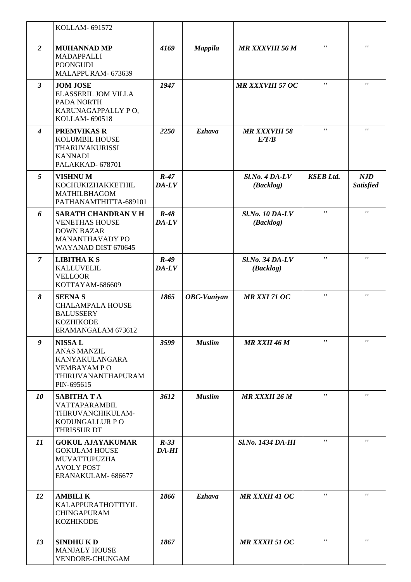|                         | <b>KOLLAM-691572</b>                                                                                                   |                 |                    |                                     |                    |                                |
|-------------------------|------------------------------------------------------------------------------------------------------------------------|-----------------|--------------------|-------------------------------------|--------------------|--------------------------------|
| $\overline{2}$          | <b>MUHANNAD MP</b><br>MADAPPALLI<br><b>POONGUDI</b><br>MALAPPURAM- 673639                                              | 4169            | <b>Mappila</b>     | <b>MR XXXVIII 56 M</b>              | $\mathbf{r}$       | $\mathbf{r}$                   |
| $\mathbf{3}$            | <b>JOM JOSE</b><br>ELASSERIL JOM VILLA<br>PADA NORTH<br>KARUNAGAPPALLY PO,<br>KOLLAM-690518                            | 1947            |                    | <b>MR XXXVIII 57 OC</b>             | $\pmb{\mathsf{r}}$ | $\mathbf{r}$                   |
| $\overline{\mathbf{4}}$ | <b>PREMVIKAS R</b><br>KOLUMBIL HOUSE<br><b>THARUVAKURISSI</b><br><b>KANNADI</b><br>PALAKKAD-678701                     | 2250            | <b>Ezhava</b>      | <b>MR XXXVIII 58</b><br>E/T/B       | $\mathbf{r}$       | $\mathbf{r}$                   |
| 5                       | <b>VISHNUM</b><br>KOCHUKIZHAKKETHIL<br>MATHILBHAGOM<br>PATHANAMTHITTA-689101                                           | $R-47$<br>DA-LV |                    | $Sl$ .No. 4 DA-LV<br>(Backlog)      | <b>KSEB Ltd.</b>   | <b>NJD</b><br><b>Satisfied</b> |
| 6                       | <b>SARATH CHANDRAN V H</b><br><b>VENETHAS HOUSE</b><br><b>DOWN BAZAR</b><br>MANANTHAVADY PO<br>WAYANAD DIST 670645     | $R-48$<br>DA-LV |                    | <b>Sl.No. 10 DA-LV</b><br>(Backlog) | $\pmb{\mathsf{r}}$ | $\mathbf{r}$                   |
| $\overline{z}$          | <b>LIBITHAKS</b><br><b>KALLUVELIL</b><br><b>VELLOOR</b><br>KOTTAYAM-686609                                             | $R-49$<br>DA-LV |                    | <b>Sl.No. 34 DA-LV</b><br>(Backlog) | $\pmb{\mathsf{r}}$ | $\pmb{\mathsf{r}}$             |
| 8                       | <b>SEENAS</b><br><b>CHALAMPALA HOUSE</b><br><b>BALUSSERY</b><br><b>KOZHIKODE</b><br>ERAMANGALAM 673612                 | 1865            | <b>OBC-Vaniyan</b> | <b>MR XXI 71 OC</b>                 | $\mathbf{r}$       | $\pmb{r}$                      |
| 9                       | <b>NISSAL</b><br><b>ANAS MANZIL</b><br>KANYAKULANGARA<br><b>VEMBAYAM PO</b><br><b>THIRUVANANTHAPURAM</b><br>PIN-695615 | 3599            | <b>Muslim</b>      | <b>MR XXII 46 M</b>                 | $\mathbf{r}$       | $\mathbf{r}$                   |
| 10                      | <b>SABITHATA</b><br><b>VATTAPARAMBIL</b><br>THIRUVANCHIKULAM-<br>KODUNGALLUR PO<br>THRISSUR DT                         | 3612            | <b>Muslim</b>      | <b>MR XXXII 26 M</b>                | $\pmb{\mathsf{r}}$ | $\mathbf{r}$                   |
| 11                      | <b>GOKUL AJAYAKUMAR</b><br><b>GOKULAM HOUSE</b><br>MUVATTUPUZHA<br><b>AVOLY POST</b><br>ERANAKULAM- 686677             | $R-33$<br>DA-HI |                    | <b>Sl.No. 1434 DA-HI</b>            | $\mathbf{r}$       | $\mathbf{r}$                   |
| 12                      | <b>AMBILIK</b><br>KALAPPURATHOTTIYIL<br><b>CHINGAPURAM</b><br><b>KOZHIKODE</b>                                         | 1866            | <b>Ezhava</b>      | <b>MR XXXII 41 OC</b>               | $\mathbf{r}$       | $\pmb{\mathsf{r}}$             |
| 13                      | <b>SINDHUKD</b><br><b>MANJALY HOUSE</b><br>VENDORE-CHUNGAM                                                             | 1867            |                    | <b>MR XXXII 51 OC</b>               | $\mathbf{r}$       | $\mathbf{r}$                   |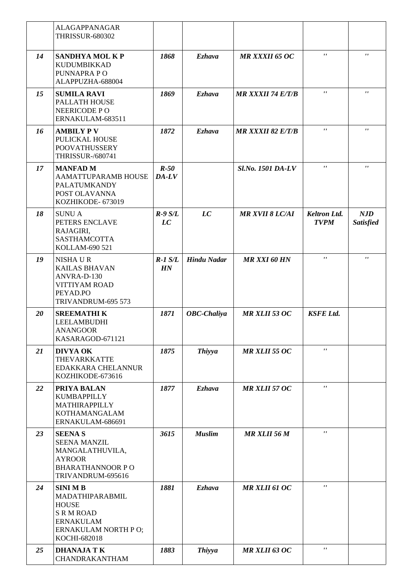|    | <b>ALAGAPPANAGAR</b><br><b>THRISSUR-680302</b>                                                                                   |                   |                    |                          |                                    |                                |
|----|----------------------------------------------------------------------------------------------------------------------------------|-------------------|--------------------|--------------------------|------------------------------------|--------------------------------|
| 14 | <b>SANDHYA MOL KP</b><br>KUDUMBIKKAD<br>PUNNAPRA PO<br>ALAPPUZHA-688004                                                          | 1868              | <b>Ezhava</b>      | <b>MR XXXII 65 OC</b>    | $\mathbf{r}$                       | $\pmb{r}$                      |
| 15 | <b>SUMILA RAVI</b><br>PALLATH HOUSE<br>NEERICODE PO<br>ERNAKULAM-683511                                                          | 1869              | <b>Ezhava</b>      | <b>MR XXXII 74 E/T/B</b> | $\pmb{r}$ ,                        | $\pmb{\mathsf{r}}$             |
| 16 | <b>AMBILY PV</b><br>PULICKAL HOUSE<br><b>POOVATHUSSERY</b><br><b>THRISSUR-/680741</b>                                            | 1872              | <b>Ezhava</b>      | <b>MR XXXII 82 E/T/B</b> | $\pmb{\mathsf{r}}$                 | $\pmb{r}$                      |
| 17 | <b>MANFAD M</b><br>AAMATTUPARAMB HOUSE<br><b>PALATUMKANDY</b><br>POST OLAVANNA<br>KOZHIKODE- 673019                              | $R-50$<br>$DA-LV$ |                    | Sl.No. 1501 DA-LV        | $\mathbf{r}$ $\mathbf{r}$          | $\pmb{r}$                      |
| 18 | <b>SUNUA</b><br>PETERS ENCLAVE<br>RAJAGIRI,<br>SASTHAMCOTTA<br>KOLLAM-690 521                                                    | $R-9S/L$<br>LC    | LC                 | <b>MR XVII 8 LC/AI</b>   | <b>Keltron Ltd.</b><br><b>TVPM</b> | <b>NJD</b><br><b>Satisfied</b> |
| 19 | NISHA U R<br><b>KAILAS BHAVAN</b><br>ANVRA-D-130<br><b>VITTIYAM ROAD</b><br>PEYAD.PO<br>TRIVANDRUM-695 573                       | $R-1$ $S/L$<br>HN | <b>Hindu Nadar</b> | <b>MR XXI 60 HN</b>      | $\pmb{\mathsf{r}}$                 | $\pmb{\mathsf{r}}$             |
| 20 | <b>SREEMATHIK</b><br>LEELAMBUDHI<br><b>ANANGOOR</b><br>KASARAGOD-671121                                                          | 1871              | <b>OBC-Chaliya</b> | <b>MR XLII 53 OC</b>     | <b>KSFE Ltd.</b>                   |                                |
| 21 | <b>DIVYA OK</b><br><b>THEVARKKATTE</b><br>EDAKKARA CHELANNUR<br>KOZHIKODE-673616                                                 | 1875              | <b>Thiyya</b>      | <b>MR XLII 55 OC</b>     | $\mathbf{r}$                       |                                |
| 22 | PRIYA BALAN<br>KUMBAPPILLY<br>MATHIRAPPILLY<br><b>KOTHAMANGALAM</b><br>ERNAKULAM-686691                                          | 1877              | <b>Ezhava</b>      | <b>MR XLII 57 OC</b>     | $\pmb{\mathsf{r}}$                 |                                |
| 23 | <b>SEENAS</b><br><b>SEENA MANZIL</b><br>MANGALATHUVILA,<br><b>AYROOR</b><br><b>BHARATHANNOOR PO</b><br>TRIVANDRUM-695616         | 3615              | <b>Muslim</b>      | MR XLII 56 M             | $\mathbf{r}$                       |                                |
| 24 | <b>SINIMB</b><br>MADATHIPARABMIL<br><b>HOUSE</b><br><b>S R M ROAD</b><br><b>ERNAKULAM</b><br>ERNAKULAM NORTH PO;<br>KOCHI-682018 | 1881              | <b>Ezhava</b>      | <b>MR XLII 61 OC</b>     | $\mathbf{r}$                       |                                |
| 25 | <b>DHANAJA TK</b><br>CHANDRAKANTHAM                                                                                              | 1883              | <b>Thiyya</b>      | <b>MR XLII 63 OC</b>     | $\mathbf{r}$                       |                                |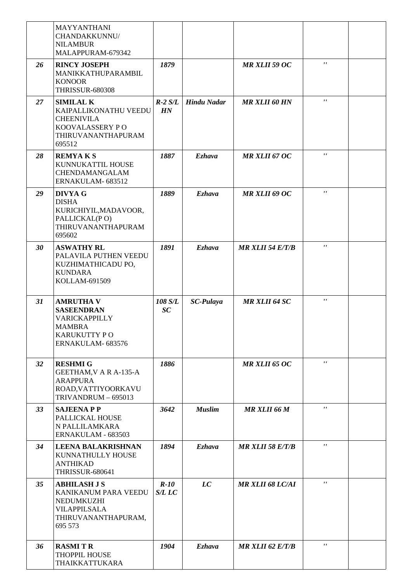|    | MAYYANTHANI<br>CHANDAKKUNNU/<br><b>NILAMBUR</b><br>MALAPPURAM-679342                                               |                  |                    |                         |              |  |
|----|--------------------------------------------------------------------------------------------------------------------|------------------|--------------------|-------------------------|--------------|--|
| 26 | <b>RINCY JOSEPH</b><br>MANIKKATHUPARAMBIL<br><b>KONOOR</b><br><b>THRISSUR-680308</b>                               | 1879             |                    | <b>MR XLII 59 OC</b>    | $\mathbf{r}$ |  |
| 27 | <b>SIMILAL K</b><br>KAIPALLIKONATHU VEEDU<br><b>CHEENIVILA</b><br>KOOVALASSERY PO<br>THIRUVANANTHAPURAM<br>695512  | $R-2 S/L$<br>HN  | <b>Hindu Nadar</b> | <b>MR XLII 60 HN</b>    | $\mathbf{r}$ |  |
| 28 | <b>REMYAKS</b><br>KUNNUKATTIL HOUSE<br>CHENDAMANGALAM<br>ERNAKULAM-683512                                          | 1887             | <b>Ezhava</b>      | <b>MR XLII 67 OC</b>    | $\mathbf{r}$ |  |
| 29 | <b>DIVYA G</b><br><b>DISHA</b><br>KURICHIYIL, MADAVOOR,<br>PALLICKAL(PO)<br>THIRUVANANTHAPURAM<br>695602           | 1889             | <b>Ezhava</b>      | MR XLII 69 OC           | $\mathbf{r}$ |  |
| 30 | <b>ASWATHY RL</b><br>PALAVILA PUTHEN VEEDU<br>KUZHIMATHICADU PO,<br><b>KUNDARA</b><br>KOLLAM-691509                | 1891             | <b>Ezhava</b>      | <b>MR XLII 54 E/T/B</b> | $\mathbf{r}$ |  |
| 31 | <b>AMRUTHA V</b><br><b>SASEENDRAN</b><br>VARICKAPPILLY<br><b>MAMBRA</b><br>KARUKUTTY PO<br>ERNAKULAM-683576        | 108 S/L<br>SC    | <b>SC-Pulaya</b>   | <b>MR XLII 64 SC</b>    | $\mathbf{r}$ |  |
| 32 | <b>RESHMI G</b><br>GEETHAM, V A R A-135-A<br><b>ARAPPURA</b><br>ROAD, VATTIYOORKAVU<br>TRIVANDRUM - 695013         | 1886             |                    | <b>MR XLII 65 OC</b>    | $\mathbf{r}$ |  |
| 33 | <b>SAJEENAPP</b><br>PALLICKAL HOUSE<br>N PALLILAMKARA                                                              | 3642             | <b>Muslim</b>      | MR XLII 66 M            | $\bar{r}$    |  |
|    | ERNAKULAM - 683503                                                                                                 |                  |                    |                         |              |  |
| 34 | <b>LEENA BALAKRISHNAN</b><br>KUNNATHULLY HOUSE<br><b>ANTHIKAD</b><br><b>THRISSUR-680641</b>                        | 1894             | <b>Ezhava</b>      | <b>MR XLII 58 E/T/B</b> | $\mathbf{r}$ |  |
| 35 | <b>ABHILASH J S</b><br>KANIKANUM PARA VEEDU<br>NEDUMKUZHI<br><b>VILAPPILSALA</b><br>THIRUVANANTHAPURAM,<br>695 573 | $R-10$<br>S/L LC | LC                 | <b>MR XLII 68 LC/AI</b> | $\pmb{r}$    |  |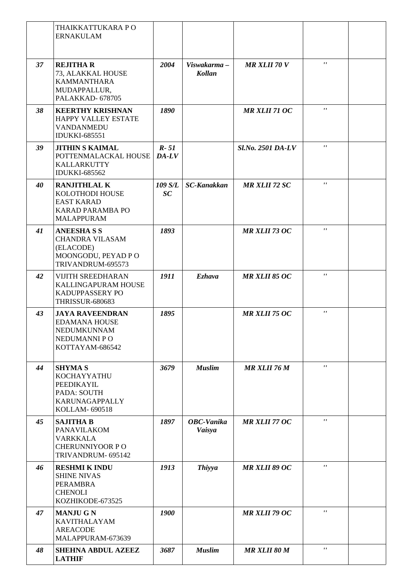|    | THAIKKATTUKARA PO<br><b>ERNAKULAM</b>                                                                |                     |                              |                      |                           |  |
|----|------------------------------------------------------------------------------------------------------|---------------------|------------------------------|----------------------|---------------------------|--|
| 37 | <b>REJITHA R</b><br>73, ALAKKAL HOUSE<br><b>KAMMANTHARA</b><br>MUDAPPALLUR,<br>PALAKKAD-678705       | 2004                | Viswakarma-<br><b>Kollan</b> | <b>MR XLII 70 V</b>  | $\mathbf{r}$ $\mathbf{r}$ |  |
| 38 | <b>KEERTHY KRISHNAN</b><br>HAPPY VALLEY ESTATE<br>VANDANMEDU<br><b>IDUKKI-685551</b>                 | 1890                |                              | MR XLII 71 OC        | $\pmb{\mathsf{r}}$        |  |
| 39 | <b>JITHIN S KAIMAL</b><br>POTTENMALACKAL HOUSE<br>KALLARKUTTY<br><b>IDUKKI-685562</b>                | $R - 51$<br>$DA-LV$ |                              | Sl.No. 2501 DA-LV    | $\mathbf{r}$              |  |
| 40 | <b>RANJITHLAL K</b><br>KOLOTHODI HOUSE<br><b>EAST KARAD</b><br>KARAD PARAMBA PO<br><b>MALAPPURAM</b> | 109 S/L<br>SC       | <b>SC-Kanakkan</b>           | <b>MR XLII 72 SC</b> | $\pmb{r}$ ,               |  |
| 41 | <b>ANEESHASS</b><br><b>CHANDRA VILASAM</b><br>(ELACODE)<br>MOONGODU, PEYAD P O<br>TRIVANDRUM-695573  | 1893                |                              | <b>MR XLII 73 OC</b> | $\pmb{r}$                 |  |
| 42 | <b>VIJITH SREEDHARAN</b><br>KALLINGAPURAM HOUSE<br>KADUPPASSERY PO<br><b>THRISSUR-680683</b>         | 1911                | <b>Ezhava</b>                | <b>MR XLII 85 OC</b> | $\pmb{r}$ ,               |  |
| 43 | <b>JAYA RAVEENDRAN</b><br><b>EDAMANA HOUSE</b><br>NEDUMKUNNAM<br>NEDUMANNI PO<br>KOTTAYAM-686542     | 1895                |                              | <b>MR XLII 75 OC</b> | $\mathbf{r}$              |  |
| 44 | <b>SHYMA S</b><br>KOCHAYYATHU<br>PEEDIKAYIL<br>PADA: SOUTH<br><b>KARUNAGAPPALLY</b><br>KOLLAM-690518 | 3679                | <b>Muslim</b>                | MR XLII 76 M         | $\mathbf{r}$              |  |
| 45 | <b>SAJITHA B</b><br>PANAVILAKOM<br><b>VARKKALA</b><br><b>CHERUNNIYOOR PO</b><br>TRIVANDRUM- 695142   | 1897                | <b>OBC-Vanika</b><br>Vaisya  | <b>MR XLII 77 OC</b> | $\mathbf{r}$              |  |
| 46 | <b>RESHMI K INDU</b><br><b>SHINE NIVAS</b><br>PERAMBRA<br><b>CHENOLI</b><br>KOZHIKODE-673525         | 1913                | <b>Thiyya</b>                | <b>MR XLII 89 OC</b> | $\mathbf{r}$              |  |
| 47 | <b>MANJUGN</b><br><b>KAVITHALAYAM</b><br><b>AREACODE</b><br>MALAPPURAM-673639                        | 1900                |                              | <b>MR XLII 79 OC</b> | $\mathbf{r}$              |  |
| 48 | <b>SHEHNA ABDUL AZEEZ</b><br><b>LATHIF</b>                                                           | 3687                | <b>Muslim</b>                | <b>MR XLII 80 M</b>  | $\mathbf{r}$              |  |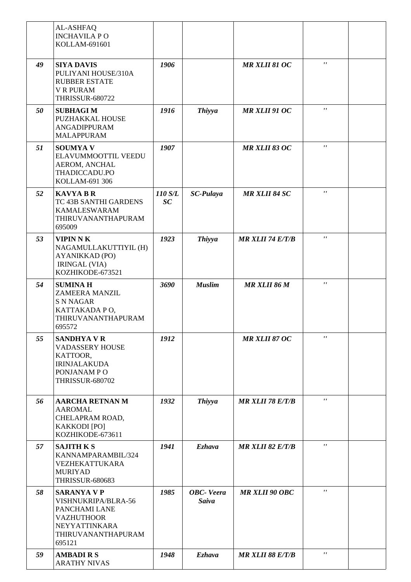|    | AL-ASHFAQ<br><b>INCHAVILA PO</b><br>KOLLAM-691601                                                                                |               |                                   |                         |                    |  |
|----|----------------------------------------------------------------------------------------------------------------------------------|---------------|-----------------------------------|-------------------------|--------------------|--|
| 49 | <b>SIYA DAVIS</b><br>PULIYANI HOUSE/310A<br><b>RUBBER ESTATE</b><br><b>V R PURAM</b><br><b>THRISSUR-680722</b>                   | 1906          |                                   | <b>MR XLII 81 OC</b>    | $\mathbf{r}$       |  |
| 50 | <b>SUBHAGIM</b><br>PUZHAKKAL HOUSE<br><b>ANGADIPPURAM</b><br><b>MALAPPURAM</b>                                                   | 1916          | <b>Thiyya</b>                     | MR XLII 91 OC           | $\pmb{r}$ ,        |  |
| 51 | <b>SOUMYAV</b><br>ELAVUMMOOTTIL VEEDU<br>AEROM, ANCHAL<br>THADICCADU.PO<br>KOLLAM-691 306                                        | 1907          |                                   | <b>MR XLII 83 OC</b>    | $\mathbf{r}$       |  |
| 52 | <b>KAVYA B R</b><br>TC 43B SANTHI GARDENS<br><b>KAMALESWARAM</b><br>THIRUVANANTHAPURAM<br>695009                                 | 110 S/L<br>SC | <b>SC-Pulaya</b>                  | <b>MR XLII 84 SC</b>    | $\pmb{r}$ ,        |  |
| 53 | <b>VIPIN N K</b><br>NAGAMULLAKUTTIYIL (H)<br>AYANIKKAD (PO)<br><b>IRINGAL (VIA)</b><br>KOZHIKODE-673521                          | 1923          | <b>Thiyya</b>                     | <b>MR XLII 74 E/T/B</b> | $\pmb{\mathsf{r}}$ |  |
| 54 | <b>SUMINAH</b><br><b>ZAMEERA MANZIL</b><br><b>S N NAGAR</b><br>KATTAKADA PO,<br>THIRUVANANTHAPURAM<br>695572                     | 3690          | <b>Muslim</b>                     | MR XLII 86 M            | $\mathbf{r}$       |  |
| 55 | <b>SANDHYA V R</b><br><b>VADASSERY HOUSE</b><br>KATTOOR,<br><b>IRINJALAKUDA</b><br>PONJANAM PO<br><b>THRISSUR-680702</b>         | 1912          |                                   | <b>MR XLII 87 OC</b>    | $\mathbf{r}$       |  |
| 56 | <b>AARCHA RETNAN M</b><br><b>AAROMAL</b><br>CHELAPRAM ROAD,<br>KAKKODI [PO]<br>KOZHIKODE-673611                                  | 1932          | <b>Thiyya</b>                     | <b>MR XLII 78 E/T/B</b> | $\mathbf{r}$       |  |
| 57 | <b>SAJITH K S</b><br>KANNAMPARAMBIL/324<br>VEZHEKATTUKARA<br><b>MURIYAD</b><br><b>THRISSUR-680683</b>                            | 1941          | <b>Ezhava</b>                     | $MR$ XLII 82 $E/T/B$    | $\mathbf{r}$       |  |
| 58 | <b>SARANYA V P</b><br>VISHNUKRIPA/BLRA-56<br>PANCHAMI LANE<br><b>VAZHUTHOOR</b><br>NEYYATTINKARA<br>THIRUVANANTHAPURAM<br>695121 | 1985          | <b>OBC-</b> Veera<br><b>Saiva</b> | <b>MR XLII 90 OBC</b>   | $\mathbf{r}$       |  |
| 59 | <b>AMBADIRS</b><br><b>ARATHY NIVAS</b>                                                                                           | 1948          | <b>Ezhava</b>                     | <b>MR XLII 88 E/T/B</b> | $\mathbf{r}$       |  |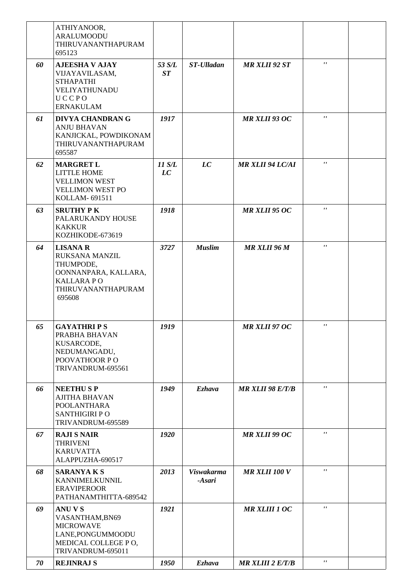|    | ATHIYANOOR,<br><b>ARALUMOODU</b><br>THIRUVANANTHAPURAM<br>695123                                                           |              |                             |                         |                    |  |
|----|----------------------------------------------------------------------------------------------------------------------------|--------------|-----------------------------|-------------------------|--------------------|--|
| 60 | <b>AJEESHA V AJAY</b><br>VIJAYAVILASAM,<br><b>STHAPATHI</b><br>VELIYATHUNADU<br>UCCPO<br><b>ERNAKULAM</b>                  | 53 S/L<br>ST | <b>ST-Ulladan</b>           | <b>MR XLII 92 ST</b>    | $\mathbf{r}$       |  |
| 61 | <b>DIVYA CHANDRAN G</b><br><b>ANJU BHAVAN</b><br>KANJICKAL, POWDIKONAM<br>THIRUVANANTHAPURAM<br>695587                     | 1917         |                             | <b>MR XLII 93 OC</b>    | $\mathbf{r}$       |  |
| 62 | <b>MARGRET L</b><br>LITTLE HOME<br><b>VELLIMON WEST</b><br><b>VELLIMON WEST PO</b><br>KOLLAM-691511                        | 11 S/L<br>LC | LC                          | <b>MR XLII 94 LC/AI</b> | $\mathbf{r}$       |  |
| 63 | <b>SRUTHY PK</b><br>PALARUKANDY HOUSE<br><b>KAKKUR</b><br>KOZHIKODE-673619                                                 | 1918         |                             | <b>MR XLII 95 OC</b>    | $\mathbf{r}$       |  |
| 64 | <b>LISANA R</b><br>RUKSANA MANZIL<br>THUMPODE,<br>OONNANPARA, KALLARA,<br><b>KALLARAPO</b><br>THIRUVANANTHAPURAM<br>695608 | 3727         | <b>Muslim</b>               | <b>MR XLII 96 M</b>     | $\mathbf{r}$       |  |
| 65 | <b>GAYATHRIPS</b><br>PRABHA BHAVAN<br>KUSARCODE,<br>NEDUMANGADU,<br>POOVATHOOR PO<br>TRIVANDRUM-695561                     | 1919         |                             | MR XLII 97 OC           | $\mathbf{r}$       |  |
| 66 | <b>NEETHUSP</b><br><b>AJITHA BHAVAN</b><br><b>POOLANTHARA</b><br><b>SANTHIGIRI PO</b><br>TRIVANDRUM-695589                 | 1949         | <b>Ezhava</b>               | <b>MR XLII 98 E/T/B</b> | $\mathbf{r}$       |  |
| 67 | <b>RAJI S NAIR</b><br><b>THRIVENI</b><br><b>KARUVATTA</b><br>ALAPPUZHA-690517                                              | 1920         |                             | <b>MR XLII 99 OC</b>    | $\mathbf{r}$       |  |
| 68 | <b>SARANYAKS</b><br>KANNIMELKUNNIL<br><b>ERAVIPEROOR</b><br>PATHANAMTHITTA-689542                                          | 2013         | <b>Viswakarma</b><br>-Asari | <b>MR XLII 100 V</b>    | $\mathbf{r}$       |  |
| 69 | <b>ANUVS</b><br>VASANTHAM, BN69<br><b>MICROWAVE</b><br>LANE, PONGUMMOODU<br>MEDICAL COLLEGE PO,<br>TRIVANDRUM-695011       | 1921         |                             | <b>MR XLIII 1 OC</b>    | $\pmb{\mathsf{r}}$ |  |
| 70 | <b>REJINRAJ S</b>                                                                                                          | 1950         | <b>Ezhava</b>               | <b>MR XLIII 2 E/T/B</b> | $\mathbf{r}$       |  |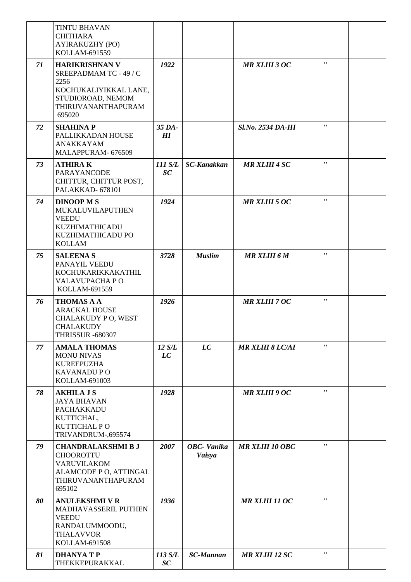|    | <b>TINTU BHAVAN</b><br><b>CHITHARA</b><br>AYIRAKUZHY (PO)<br>KOLLAM-691559                                                            |               |                             |                          |              |  |
|----|---------------------------------------------------------------------------------------------------------------------------------------|---------------|-----------------------------|--------------------------|--------------|--|
| 71 | <b>HARIKRISHNAN V</b><br>SREEPADMAM TC - 49 / C<br>2256<br>KOCHUKALIYIKKAL LANE,<br>STUDIOROAD, NEMOM<br>THIRUVANANTHAPURAM<br>695020 | 1922          |                             | <b>MR XLIII 3 OC</b>     | $\mathbf{r}$ |  |
| 72 | <b>SHAHINA P</b><br>PALLIKKADAN HOUSE<br><b>ANAKKAYAM</b><br>MALAPPURAM- 676509                                                       | 35 DA-<br>H   |                             | <b>Sl.No. 2534 DA-HI</b> | $\mathbf{r}$ |  |
| 73 | <b>ATHIRAK</b><br>PARAYANCODE<br>CHITTUR, CHITTUR POST,<br>PALAKKAD-678101                                                            | 111 S/L<br>SC | <b>SC-Kanakkan</b>          | <b>MR XLIII 4 SC</b>     | $\mathbf{r}$ |  |
| 74 | <b>DINOOP MS</b><br>MUKALUVILAPUTHEN<br><b>VEEDU</b><br>KUZHIMATHICADU<br>KUZHIMATHICADU PO<br><b>KOLLAM</b>                          | 1924          |                             | <b>MR XLIII 5 OC</b>     | $\mathbf{r}$ |  |
| 75 | <b>SALEENAS</b><br>PANAYIL VEEDU<br>KOCHUKARIKKAKATHIL<br>VALAVUPACHA PO<br>KOLLAM-691559                                             | 3728          | <b>Muslim</b>               | <b>MR XLIII 6 M</b>      | $\mathbf{r}$ |  |
| 76 | <b>THOMAS A A</b><br><b>ARACKAL HOUSE</b><br>CHALAKUDY PO, WEST<br><b>CHALAKUDY</b><br><b>THRISSUR -680307</b>                        | 1926          |                             | <b>MR XLIII 7 OC</b>     | $\mathbf{r}$ |  |
| 77 | <b>AMALA THOMAS</b><br><b>MONU NIVAS</b><br><b>KUREEPUZHA</b><br><b>KAVANADU PO</b><br>KOLLAM-691003                                  | 12 S/L<br>LC  | LC                          | <b>MR XLIII 8 LC/AI</b>  | $\mathbf{r}$ |  |
| 78 | <b>AKHILA J S</b><br><b>JAYA BHAVAN</b><br>PACHAKKADU<br>KUTTICHAL,<br>KUTTICHAL PO<br>TRIVANDRUM-,695574                             | 1928          |                             | <b>MR XLIII 9 OC</b>     | $\mathbf{r}$ |  |
| 79 | <b>CHANDRALAKSHMI B J</b><br><b>CHOOROTTU</b><br><b>VARUVILAKOM</b><br>ALAMCODE P O, ATTINGAL<br>THIRUVANANTHAPURAM<br>695102         | 2007          | <b>OBC-Vanika</b><br>Vaisya | <b>MR XLIII 10 OBC</b>   | $\mathbf{r}$ |  |
| 80 | <b>ANULEKSHMI V R</b><br>MADHAVASSERIL PUTHEN<br><b>VEEDU</b><br>RANDALUMMOODU,<br><b>THALAVVOR</b><br>KOLLAM-691508                  | 1936          |                             | <b>MR XLIII 11 OC</b>    | $\mathbf{r}$ |  |
| 81 | <b>DHANYATP</b><br>THEKKEPURAKKAL                                                                                                     | 113 S/L<br>SC | <b>SC-Mannan</b>            | <b>MR XLIII 12 SC</b>    | $\pmb{r}$    |  |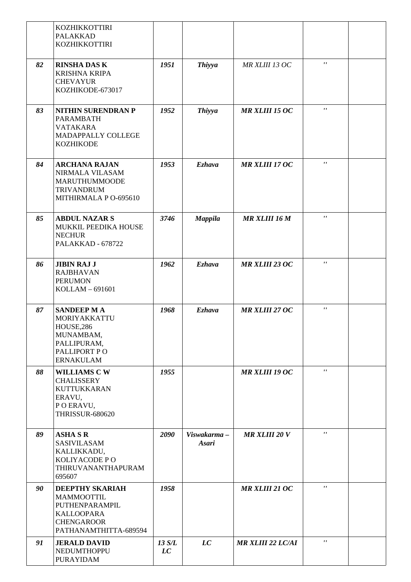|    | <b>KOZHIKKOTTIRI</b><br><b>PALAKKAD</b><br>KOZHIKKOTTIRI                                                                  |              |                             |                          |                           |  |
|----|---------------------------------------------------------------------------------------------------------------------------|--------------|-----------------------------|--------------------------|---------------------------|--|
| 82 | <b>RINSHA DAS K</b><br><b>KRISHNA KRIPA</b><br><b>CHEVAYUR</b><br>KOZHIKODE-673017                                        | 1951         | <b>Thiyya</b>               | MR XLIII 13 OC           | $\mathbf{r}$ $\mathbf{r}$ |  |
| 83 | <b>NITHIN SURENDRAN P</b><br>PARAMBATH<br><b>VATAKARA</b><br>MADAPPALLY COLLEGE<br><b>KOZHIKODE</b>                       | 1952         | <b>Thiyya</b>               | <b>MR XLIII 15 OC</b>    | $\pmb{r}$                 |  |
| 84 | <b>ARCHANA RAJAN</b><br>NIRMALA VILASAM<br><b>MARUTHUMMOODE</b><br><b>TRIVANDRUM</b><br>MITHIRMALA P O-695610             | 1953         | <b>Ezhava</b>               | <b>MR XLIII 17 OC</b>    | $\boldsymbol{r}$          |  |
| 85 | <b>ABDUL NAZAR S</b><br>MUKKIL PEEDIKA HOUSE<br><b>NECHUR</b><br>PALAKKAD - 678722                                        | 3746         | <b>Mappila</b>              | <b>MR XLIII 16 M</b>     | $\pmb{r}$ ,               |  |
| 86 | <b>JIBIN RAJ J</b><br><b>RAJBHAVAN</b><br><b>PERUMON</b><br>KOLLAM-691601                                                 | 1962         | <b>Ezhava</b>               | <b>MR XLIII 23 OC</b>    | $\pmb{r}$                 |  |
| 87 | <b>SANDEEP MA</b><br>MORIYAKKATTU<br>HOUSE, 286<br>MUNAMBAM,<br>PALLIPURAM,<br>PALLIPORT PO<br><b>ERNAKULAM</b>           | 1968         | <b>Ezhava</b>               | <b>MR XLIII 27 OC</b>    | $\pmb{r}$ ,               |  |
| 88 | <b>WILLIAMS CW</b><br><b>CHALISSERY</b><br><b>KUTTUKKARAN</b><br>ERAVU,<br>POERAVU,<br><b>THRISSUR-680620</b>             | 1955         |                             | <b>MR XLIII 19 OC</b>    | $\mathbf{r}$              |  |
| 89 | <b>ASHA S R</b><br>SASIVILASAM<br>KALLIKKADU,<br>KOLIYACODE P O<br>THIRUVANANTHAPURAM<br>695607                           | 2090         | Viswakarma-<br><b>Asari</b> | <b>MR XLIII 20 V</b>     | $\mathbf{r}$              |  |
| 90 | <b>DEEPTHY SKARIAH</b><br>MAMMOOTTIL<br>PUTHENPARAMPIL<br><b>KALLOOPARA</b><br><b>CHENGAROOR</b><br>PATHANAMTHITTA-689594 | 1958         |                             | <b>MR XLIII 21 OC</b>    | $\mathbf{r}$              |  |
| 91 | <b>JERALD DAVID</b><br>NEDUMTHOPPU<br>PURAYIDAM                                                                           | 13 S/L<br>LC | LC                          | <b>MR XLIII 22 LC/AI</b> | $\mathbf{r}$              |  |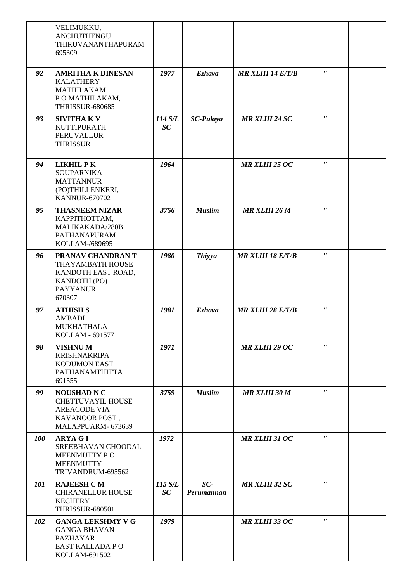|            | VELIMUKKU,<br>ANCHUTHENGU<br>THIRUVANANTHAPURAM<br>695309                                                     |               |                     |                          |                |  |
|------------|---------------------------------------------------------------------------------------------------------------|---------------|---------------------|--------------------------|----------------|--|
| 92         | <b>AMRITHA K DINESAN</b><br><b>KALATHERY</b><br><b>MATHILAKAM</b><br>PO MATHILAKAM,<br><b>THRISSUR-680685</b> | 1977          | <b>Ezhava</b>       | <b>MR XLIII 14 E/T/B</b> | $^{\prime}$    |  |
| 93         | <b>SIVITHAKV</b><br><b>KUTTIPURATH</b><br><b>PERUVALLUR</b><br><b>THRISSUR</b>                                | 114 S/L<br>SC | <b>SC-Pulaya</b>    | <b>MR XLIII 24 SC</b>    | $\mathbf{r}$   |  |
| 94         | <b>LIKHIL PK</b><br><b>SOUPARNIKA</b><br><b>MATTANNUR</b><br>(PO)THILLENKERI,<br><b>KANNUR-670702</b>         | 1964          |                     | <b>MR XLIII 25 OC</b>    | $\mathbf{r}$   |  |
| 95         | <b>THASNEEM NIZAR</b><br>КАРРІТНОТТАМ,<br>MALIKAKADA/280B<br>PATHANAPURAM<br>KOLLAM-/689695                   | 3756          | <b>Muslim</b>       | <b>MR XLIII 26 M</b>     | $\mathbf{r}$   |  |
| 96         | PRANAV CHANDRAN T<br>THAYAMBATH HOUSE<br>KANDOTH EAST ROAD,<br>KANDOTH (PO)<br><b>PAYYANUR</b><br>670307      | 1980          | <b>Thiyya</b>       | <b>MR XLIII 18 E/T/B</b> | $^{\prime}$    |  |
| 97         | <b>ATHISH S</b><br><b>AMBADI</b><br>MUKHATHALA<br>KOLLAM - 691577                                             | 1981          | <b>Ezhava</b>       | <b>MR XLIII 28 E/T/B</b> | $^{\prime}$    |  |
| 98         | <b>VISHNUM</b><br><b>KRISHNAKRIPA</b><br><b>KODUMON EAST</b><br>PATHANAMTHITTA<br>691555                      | 1971          |                     | <b>MR XLIII 29 OC</b>    | $\mathbf{r}$ , |  |
| 99         | <b>NOUSHAD N C</b><br><b>CHETTUVAYIL HOUSE</b><br><b>AREACODE VIA</b><br>KAVANOOR POST,<br>MALAPPUARM- 673639 | 3759          | <b>Muslim</b>       | <b>MR XLIII 30 M</b>     | $\mathbf{r}$   |  |
| <b>100</b> | <b>ARYA G I</b><br>SREEBHAVAN CHOODAL<br>MEENMUTTY PO<br><b>MEENMUTTY</b><br>TRIVANDRUM-695562                | 1972          |                     | <b>MR XLIII 31 OC</b>    | $\mathbf{r}$   |  |
| 101        | <b>RAJEESH C M</b><br><b>CHIRANELLUR HOUSE</b><br><b>KECHERY</b><br><b>THRISSUR-680501</b>                    | 115 S/L<br>SC | $SC-$<br>Perumannan | <b>MR XLIII 32 SC</b>    | $\mathbf{r}$   |  |
| 102        | <b>GANGA LEKSHMY V G</b><br><b>GANGA BHAVAN</b><br><b>PAZHAYAR</b><br>EAST KALLADA PO<br>KOLLAM-691502        | 1979          |                     | <b>MR XLIII 33 OC</b>    | $\mathbf{r}$   |  |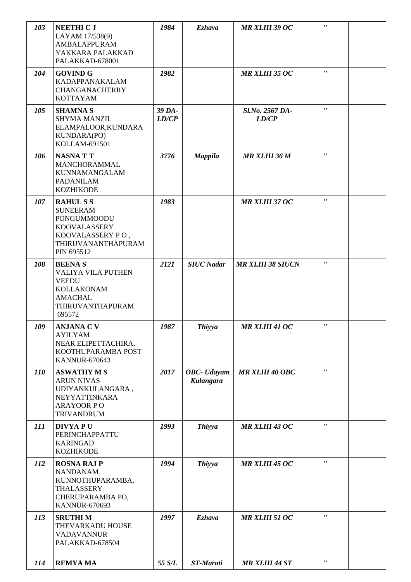| 103        | <b>NEETHI C J</b><br>LAYAM 17/538(9)<br><b>AMBALAPPURAM</b><br>YAKKARA PALAKKAD<br>PALAKKAD-678001                              | 1984            | <b>Ezhava</b>                   | <b>MR XLIII 39 OC</b>    | $\mathbf{r}$ |  |
|------------|---------------------------------------------------------------------------------------------------------------------------------|-----------------|---------------------------------|--------------------------|--------------|--|
| 104        | <b>GOVIND G</b><br><b>KADAPPANAKALAM</b><br><b>CHANGANACHERRY</b><br><b>KOTTAYAM</b>                                            | 1982            |                                 | <b>MR XLIII 35 OC</b>    | $\mathbf{r}$ |  |
| 105        | <b>SHAMNAS</b><br><b>SHYMA MANZIL</b><br>ELAMPALOOR, KUNDARA<br>KUNDARA(PO)<br>KOLLAM-691501                                    | 39 DA-<br>LD/CP |                                 | Sl.No. 2567 DA-<br>LD/CP | $\mathbf{r}$ |  |
| 106        | <b>NASNATT</b><br>MANCHORAMMAL<br><b>KUNNAMANGALAM</b><br>PADANILAM<br><b>KOZHIKODE</b>                                         | 3776            | <b>Mappila</b>                  | <b>MR XLIII 36 M</b>     | $\mathbf{r}$ |  |
| 107        | <b>RAHULSS</b><br><b>SUNEERAM</b><br>PONGUMMOODU<br><b>KOOVALASSERY</b><br>KOOVALASSERY PO,<br>THIRUVANANTHAPURAM<br>PIN 695512 | 1983            |                                 | <b>MR XLIII 37 OC</b>    | $\pmb{r}$    |  |
| 108        | <b>BEENAS</b><br>VALIYA VILA PUTHEN<br><b>VEEDU</b><br>KOLLAKONAM<br><b>AMACHAL</b><br>THIRUVANTHAPURAM<br>695572               | 2121            | <b>SIUC Nadar</b>               | <b>MR XLIII 38 SIUCN</b> | $\pmb{r}$    |  |
| 109        | <b>ANJANA C V</b><br><b>AYILYAM</b><br>NEAR ELIPETTACHIRA,<br>KOOTHUPARAMBA POST<br><b>KANNUR-670643</b>                        | 1987            | <b>Thiyya</b>                   | <b>MR XLIII 41 OC</b>    | $\mathbf{r}$ |  |
| <b>110</b> | <b>ASWATHY M S</b><br><b>ARUN NIVAS</b><br>UDIYANKULANGARA,<br>NEYYATTINKARA<br><b>ARAYOOR PO</b><br><b>TRIVANDRUM</b>          | 2017            | <b>OBC-</b> Udayam<br>Kulangara | <b>MR XLIII 40 OBC</b>   | $\mathbf{r}$ |  |
| 111        | <b>DIVYAPU</b><br>PERINCHAPPATTU<br><b>KARINGAD</b><br><b>KOZHIKODE</b>                                                         | 1993            | <b>Thiyya</b>                   | MR XLIII 43 OC           | $\mathbf{r}$ |  |
| 112        | <b>ROSNA RAJ P</b><br><b>NANDANAM</b><br>KUNNOTHUPARAMBA,<br>THALASSERY<br>CHERUPARAMBA PO,<br><b>KANNUR-670693</b>             | 1994            | <b>Thiyya</b>                   | <b>MR XLIII 45 OC</b>    | $\mathbf{r}$ |  |
| 113        | <b>SRUTHIM</b><br>THEVARKADU HOUSE<br><b>VADAVANNUR</b><br>PALAKKAD-678504                                                      | 1997            | <b>Ezhava</b>                   | <b>MR XLIII 51 OC</b>    | $\mathbf{r}$ |  |
| 114        | <b>REMYAMA</b>                                                                                                                  | 55 S/L          | <b>ST-Marati</b>                | <b>MR XLIII 44 ST</b>    | $\pmb{r}$    |  |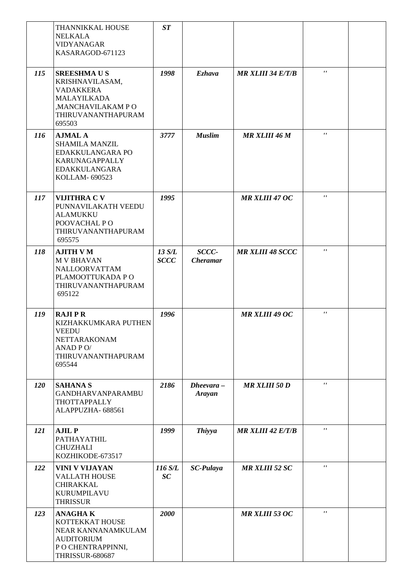|            | THANNIKKAL HOUSE<br><b>NELKALA</b><br>VIDYANAGAR<br>KASARAGOD-671123                                                                | ST                    |                          |                          |                    |  |
|------------|-------------------------------------------------------------------------------------------------------------------------------------|-----------------------|--------------------------|--------------------------|--------------------|--|
| 115        | <b>SREESHMAUS</b><br>KRISHNAVILASAM,<br><b>VADAKKERA</b><br><b>MALAYILKADA</b><br>,MANCHAVILAKAM PO<br>THIRUVANANTHAPURAM<br>695503 | 1998                  | <b>Ezhava</b>            | <b>MR XLIII 34 E/T/B</b> | $\pmb{\mathsf{r}}$ |  |
| <b>116</b> | <b>AJMAL A</b><br><b>SHAMILA MANZIL</b><br>EDAKKULANGARA PO<br>KARUNAGAPPALLY<br><b>EDAKKULANGARA</b><br>KOLLAM- 690523             | 3777                  | <b>Muslim</b>            | <b>MR XLIII 46 M</b>     | $\pmb{\mathsf{r}}$ |  |
| 117        | <b>VIJITHRA C V</b><br>PUNNAVILAKATH VEEDU<br><b>ALAMUKKU</b><br>POOVACHAL PO<br>THIRUVANANTHAPURAM<br>695575                       | 1995                  |                          | <b>MR XLIII 47 OC</b>    | $\mathbf{r}$       |  |
| 118        | <b>AJITH V M</b><br><b>M V BHAVAN</b><br>NALLOORVATTAM<br>PLAMOOTTUKADA P O<br>THIRUVANANTHAPURAM<br>695122                         | 13 S/L<br><b>SCCC</b> | SCCC-<br><b>Cheramar</b> | <b>MR XLIII 48 SCCC</b>  | $\pmb{r}$ ,        |  |
| 119        | <b>RAJIPR</b><br>KIZHAKKUMKARA PUTHEN<br>VEEDU<br>NETTARAKONAM<br>ANAD PO/<br>THIRUVANANTHAPURAM<br>695544                          | 1996                  |                          | <b>MR XLIII 49 OC</b>    | $\pmb{r}$          |  |
| 120        | <b>SAHANA S</b><br><b>GANDHARVANPARAMBU</b><br>THOTTAPPALLY<br>ALAPPUZHA- 688561                                                    | 2186                  | $Dheevara -$<br>Arayan   | <b>MR XLIII 50 D</b>     | $\mathbf{r}$       |  |
| 121        | <b>AJIL P</b><br>PATHAYATHIL<br><b>CHUZHALI</b><br>KOZHIKODE-673517                                                                 | 1999                  | <b>Thiyya</b>            | <b>MR XLIII 42 E/T/B</b> | $\pmb{r}$ ,        |  |
| 122        | VINI V VIJAYAN<br><b>VALLATH HOUSE</b><br>CHIRAKKAL<br><b>KURUMPILAVU</b><br><b>THRISSUR</b>                                        | 116 S/L<br>SC         | <b>SC-Pulaya</b>         | <b>MR XLIII 52 SC</b>    | $\pmb{r}$          |  |
| 123        | <b>ANAGHAK</b><br>KOTTEKKAT HOUSE<br>NEAR KANNANAMKULAM<br><b>AUDITORIUM</b><br>P O CHENTRAPPINNI,<br>THRISSUR-680687               | 2000                  |                          | <b>MR XLIII 53 OC</b>    | $\pmb{r}$ ,        |  |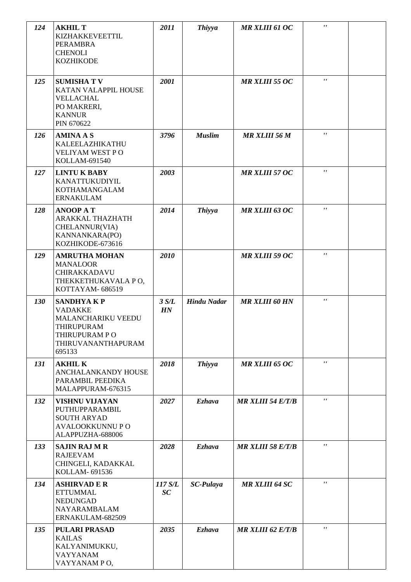| 124 |                                                                                                               |               |                    |                          |                    |  |
|-----|---------------------------------------------------------------------------------------------------------------|---------------|--------------------|--------------------------|--------------------|--|
|     | <b>AKHIL T</b><br>KIZHAKKEVEETTIL<br><b>PERAMBRA</b><br><b>CHENOLI</b><br><b>KOZHIKODE</b>                    | 2011          | <b>Thiyya</b>      | <b>MR XLIII 61 OC</b>    | $\mathbf{r}$       |  |
| 125 | <b>SUMISHATV</b><br>KATAN VALAPPIL HOUSE<br>VELLACHAL<br>PO MAKRERI,<br><b>KANNUR</b><br>PIN 670622           | 2001          |                    | <b>MR XLIII 55 OC</b>    | $\mathbf{r}$       |  |
| 126 | <b>AMINA A S</b><br>KALEELAZHIKATHU<br>VELIYAM WEST PO<br>KOLLAM-691540                                       | 3796          | <b>Muslim</b>      | <b>MR XLIII 56 M</b>     | $\pmb{r}$          |  |
| 127 | <b>LINTUK BABY</b><br>KANATTUKUDIYIL<br>KOTHAMANGALAM<br><b>ERNAKULAM</b>                                     | 2003          |                    | <b>MR XLIII 57 OC</b>    | $\mathbf{r}$       |  |
| 128 | <b>ANOOP AT</b><br>ARAKKAL THAZHATH<br>CHELANNUR(VIA)<br>KANNANKARA(PO)<br>KOZHIKODE-673616                   | 2014          | <b>Thiyya</b>      | <b>MR XLIII 63 OC</b>    | $\mathbf{r}$       |  |
| 129 | <b>AMRUTHA MOHAN</b><br><b>MANALOOR</b><br>CHIRAKKADAVU<br>THEKKETHUKAVALA PO,<br>KOTTAYAM-686519             | 2010          |                    | <b>MR XLIII 59 OC</b>    | $\mathbf{r}$       |  |
| 130 | <b>SANDHYAKP</b><br><b>VADAKKE</b><br>MALANCHARIKU VEEDU<br>THIRUPURAM<br>THIRUPURAM PO<br>THIRUVANANTHAPURAM | 3 S/L<br>HN   | <b>Hindu Nadar</b> | <b>MR XLIII 60 HN</b>    | $\pmb{\mathsf{r}}$ |  |
|     | 695133                                                                                                        |               |                    |                          |                    |  |
| 131 | <b>AKHIL K</b><br>ANCHALANKANDY HOUSE<br>PARAMBIL PEEDIKA<br>MALAPPURAM-676315                                | 2018          | <b>Thiyya</b>      | <b>MR XLIII 65 OC</b>    | $\mathbf{r}$       |  |
| 132 | <b>VISHNU VIJAYAN</b><br>PUTHUPPARAMBIL<br><b>SOUTH ARYAD</b><br><b>AVALOOKKUNNU PO</b><br>ALAPPUZHA-688006   | 2027          | <b>Ezhava</b>      | <b>MR XLIII 54 E/T/B</b> | $\mathbf{r}$       |  |
| 133 | <b>SAJIN RAJ M R</b><br><b>RAJEEVAM</b><br>CHINGELI, KADAKKAL<br>KOLLAM- 691536                               | 2028          | <b>Ezhava</b>      | <b>MR XLIII 58 E/T/B</b> | $\mathbf{r}$       |  |
| 134 | <b>ASHIRVAD E R</b><br><b>ETTUMMAL</b><br><b>NEDUNGAD</b><br>NAYARAMBALAM<br>ERNAKULAM-682509                 | 117 S/L<br>SC | <b>SC-Pulaya</b>   | <b>MR XLIII 64 SC</b>    | $\mathbf{r}$       |  |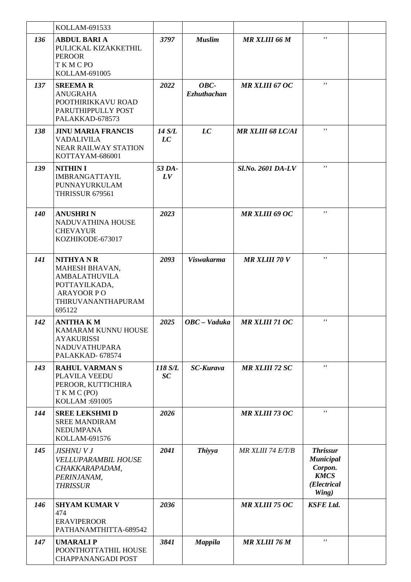|            | KOLLAM-691533                                                                                                                   |               |                            |                          |                                                                                       |  |
|------------|---------------------------------------------------------------------------------------------------------------------------------|---------------|----------------------------|--------------------------|---------------------------------------------------------------------------------------|--|
| 136        | <b>ABDUL BARI A</b><br>PULICKAL KIZAKKETHIL<br><b>PEROOR</b><br>TKMCPO<br>KOLLAM-691005                                         | 3797          | <b>Muslim</b>              | <b>MR XLIII 66 M</b>     | $\mathbf{r}$                                                                          |  |
| 137        | <b>SREEMAR</b><br><b>ANUGRAHA</b><br>POOTHIRIKKAVU ROAD<br>PARUTHIPPULLY POST<br>PALAKKAD-678573                                | 2022          | OBC-<br><b>Ezhuthachan</b> | <b>MR XLIII 67 OC</b>    | $\mathbf{r}$                                                                          |  |
| 138        | <b>JINU MARIA FRANCIS</b><br><b>VADALIVILA</b><br><b>NEAR RAILWAY STATION</b><br>KOTTAYAM-686001                                | 14 S/L<br>LC  | LC                         | <b>MR XLIII 68 LC/AI</b> | $\mathbf{r}$                                                                          |  |
| 139        | <b>NITHIN I</b><br><b>IMBRANGATTAYIL</b><br>PUNNAYURKULAM<br>THRISSUR 679561                                                    | 53 DA-<br>LV  |                            | Sl.No. 2601 DA-LV        | $\mathbf{r}$                                                                          |  |
| <b>140</b> | <b>ANUSHRIN</b><br>NADUVATHINA HOUSE<br><b>CHEVAYUR</b><br>KOZHIKODE-673017                                                     | 2023          |                            | <b>MR XLIII 69 OC</b>    | $\mathbf{r}$                                                                          |  |
| 141        | <b>NITHYANR</b><br>MAHESH BHAVAN,<br><b>AMBALATHUVILA</b><br>POTTAYILKADA,<br><b>ARAYOOR PO</b><br>THIRUVANANTHAPURAM<br>695122 | 2093          | <b>Viswakarma</b>          | <b>MR XLIII 70 V</b>     | $\pmb{\mathsf{r}}$                                                                    |  |
| 142        | <b>ANITHA K M</b><br>KAMARAM KUNNU HOUSE<br><b>AYAKURISSI</b><br><b>NADUVATHUPARA</b><br>PALAKKAD-678574                        | 2025          | OBC - Vaduka               | <b>MR XLIII 71 OC</b>    | $\mathbf{r}$                                                                          |  |
| 143        | <b>RAHUL VARMAN S</b><br>PLAVILA VEEDU<br>PEROOR, KUTTICHIRA<br>TKMC(PO)<br>KOLLAM: 691005                                      | 118 S/L<br>SC | <b>SC-Kurava</b>           | <b>MR XLIII 72 SC</b>    | $\mathbf{r}$                                                                          |  |
| 144        | <b>SREE LEKSHMI D</b><br><b>SREE MANDIRAM</b><br><b>NEDUMPANA</b><br>KOLLAM-691576                                              | 2026          |                            | <b>MR XLIII 73 OC</b>    | $\mathbf{r}$                                                                          |  |
| 145        | JISHNU V J<br><b>VELLUPARAMBIL HOUSE</b><br>CHAKKARAPADAM,<br>PERINJANAM,<br><b>THRISSUR</b>                                    | 2041          | <b>Thiyya</b>              | MR XLIII 74 E/T/B        | <b>Thrissur</b><br><b>Municipal</b><br>Corpon.<br><b>KMCS</b><br>(Electrical<br>Wing) |  |
| 146        | <b>SHYAM KUMAR V</b><br>474<br><b>ERAVIPEROOR</b><br>PATHANAMTHITTA-689542                                                      | 2036          |                            | <b>MR XLIII 75 OC</b>    | <b>KSFE Ltd.</b>                                                                      |  |
| 147        | <b>UMARALIP</b><br>POONTHOTTATHIL HOUSE<br><b>CHAPPANANGADI POST</b>                                                            | 3841          | <b>Mappila</b>             | <b>MR XLIII 76 M</b>     | $^{\prime}$                                                                           |  |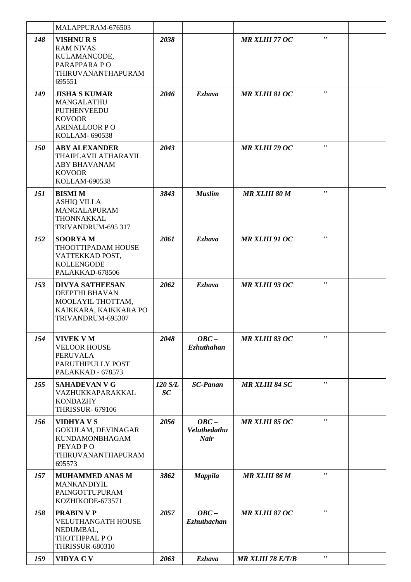|     | MALAPPURAM-676503                                                                                                   |               |                                               |                          |                     |  |
|-----|---------------------------------------------------------------------------------------------------------------------|---------------|-----------------------------------------------|--------------------------|---------------------|--|
| 148 | <b>VISHNURS</b><br><b>RAM NIVAS</b><br>KULAMANCODE,<br>PARAPPARA PO<br>THIRUVANANTHAPURAM<br>695551                 | 2038          |                                               | <b>MR XLIII 77 OC</b>    | $\mathbf{r}$        |  |
| 149 | <b>JISHA S KUMAR</b><br>MANGALATHU<br><b>PUTHENVEEDU</b><br><b>KOVOOR</b><br><b>ARINALLOOR PO</b><br>KOLLAM- 690538 | 2046          | Ezhava                                        | <b>MR XLIII 81 OC</b>    | $\mathbf{r}$        |  |
| 150 | <b>ABY ALEXANDER</b><br>THAIPLAVILATHARAYIL<br><b>ABY BHAVANAM</b><br><b>KOVOOR</b><br>KOLLAM-690538                | 2043          |                                               | <b>MR XLIII 79 OC</b>    | $^{\prime}$         |  |
| 151 | <b>BISMI M</b><br><b>ASHIQ VILLA</b><br>MANGALAPURAM<br>THONNAKKAL<br>TRIVANDRUM-695 317                            | 3843          | <b>Muslim</b>                                 | <b>MR XLIII 80 M</b>     | $\mathbf{r}$        |  |
| 152 | <b>SOORYAM</b><br>THOOTTIPADAM HOUSE<br>VATTEKKAD POST,<br><b>KOLLENGODE</b><br>PALAKKAD-678506                     | 2061          | <b>Ezhava</b>                                 | <b>MR XLIII 91 OC</b>    | $^{\prime}$         |  |
| 153 | <b>DIVYA SATHEESAN</b><br>DEEPTHI BHAVAN<br>MOOLAYIL THOTTAM,<br>KAIKKARA, KAIKKARA PO<br>TRIVANDRUM-695307         | 2062          | <b>Ezhava</b>                                 | <b>MR XLIII 93 OC</b>    | $\mathbf{r}$        |  |
| 154 | <b>VIVEK VM</b><br><b>VELOOR HOUSE</b><br><b>PERUVALA</b><br>PARUTHIPULLY POST<br>PALAKKAD - 678573                 | 2048          | $OBC -$<br><b>Ezhuthahan</b>                  | <b>MR XLIII 83 OC</b>    | $\pmb{r}$           |  |
| 155 | <b>SAHADEVAN V G</b><br>VAZHUKKAPARAKKAL<br><b>KONDAZHY</b><br><b>THRISSUR- 679106</b>                              | 120 S/L<br>SC | <b>SC-Panan</b>                               | <b>MR XLIII 84 SC</b>    | $\mathbf{r}$        |  |
| 156 | <b>VIDHYAVS</b><br>GOKULAM, DEVINAGAR<br>KUNDAMONBHAGAM<br>PEYAD PO<br>THIRUVANANTHAPURAM<br>695573                 | 2056          | $OBC -$<br><b>Veluthedathu</b><br><b>Nair</b> | <b>MR XLIII 85 OC</b>    | $\pmb{r}$ $\pmb{r}$ |  |
| 157 | <b>MUHAMMED ANAS M</b><br>MANKANDIYIL<br>PAINGOTTUPURAM<br>KOZHIKODE-673571                                         | 3862          | <b>Mappila</b>                                | <b>MR XLIII 86 M</b>     | $\pmb{\mathsf{r}}$  |  |
| 158 | <b>PRABIN V P</b><br><b>VELUTHANGATH HOUSE</b><br>NEDUMBAL,<br>THOTTIPPAL PO<br><b>THRISSUR-680310</b>              | 2057          | $OBC -$<br><b>Ezhuthachan</b>                 | <b>MR XLIII 87 OC</b>    | $\pmb{r}$           |  |
| 159 | VIDYA C V                                                                                                           | 2063          | <b>Ezhava</b>                                 | <b>MR XLIII 78 E/T/B</b> | $\pmb{\mathsf{r}}$  |  |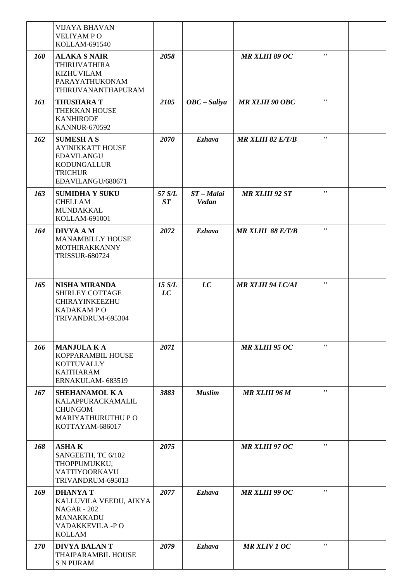|     | <b>VIJAYA BHAVAN</b><br><b>VELIYAMPO</b><br>KOLLAM-691540                                                                      |              |                              |                          |              |  |
|-----|--------------------------------------------------------------------------------------------------------------------------------|--------------|------------------------------|--------------------------|--------------|--|
| 160 | <b>ALAKA S NAIR</b><br><b>THIRUVATHIRA</b><br><b>KIZHUVILAM</b><br>PARAYATHUKONAM<br>THIRUVANANTHAPURAM                        | 2058         |                              | <b>MR XLIII 89 OC</b>    | $\mathbf{r}$ |  |
| 161 | <b>THUSHARA T</b><br>THEKKAN HOUSE<br><b>KANHIRODE</b><br><b>KANNUR-670592</b>                                                 | 2105         | $OBC - Saliya$               | <b>MR XLIII 90 OBC</b>   | $\pmb{r}$ ,  |  |
| 162 | <b>SUMESH A S</b><br><b>AYINIKKATT HOUSE</b><br><b>EDAVILANGU</b><br><b>KODUNGALLUR</b><br><b>TRICHUR</b><br>EDAVILANGU/680671 | 2070         | <b>Ezhava</b>                | MR XLIII 82 E/T/B        | $\mathbf{r}$ |  |
| 163 | <b>SUMIDHA Y SUKU</b><br><b>CHELLAM</b><br>MUNDAKKAL<br>KOLLAM-691001                                                          | 57 S/L<br>ST | $ST - Malai$<br><b>Vedan</b> | <b>MR XLIII 92 ST</b>    | $\pmb{r}$ ,  |  |
| 164 | <b>DIVYA A M</b><br><b>MANAMBILLY HOUSE</b><br>MOTHIRAKKANNY<br><b>TRISSUR-680724</b>                                          | 2072         | <b>Ezhava</b>                | <b>MR XLIII 88 E/T/B</b> | $\mathbf{r}$ |  |
| 165 | <b>NISHA MIRANDA</b><br>SHIRLEY COTTAGE<br>CHIRAYINKEEZHU<br><b>KADAKAMPO</b><br>TRIVANDRUM-695304                             | 15 S/L<br>LC | LC                           | <b>MR XLIII 94 LC/AI</b> | $\pmb{r}$ ,  |  |
| 166 | <b>MANJULA K A</b><br>KOPPARAMBIL HOUSE<br><b>KOTTUVALLY</b><br><b>KAITHARAM</b><br>ERNAKULAM-683519                           | 2071         |                              | <b>MR XLIII 95 OC</b>    | $\pmb{r}$ ,  |  |
| 167 | <b>SHEHANAMOL KA</b><br>KALAPPURACKAMALIL<br><b>CHUNGOM</b><br><b>MARIYATHURUTHU P O</b><br>KOTTAYAM-686017                    | 3883         | <b>Muslim</b>                | <b>MR XLIII 96 M</b>     | $\mathbf{r}$ |  |
| 168 | <b>ASHAK</b><br>SANGEETH, TC 6/102<br>THOPPUMUKKU,<br>VATTIYOORKAVU<br>TRIVANDRUM-695013                                       | 2075         |                              | <b>MR XLIII 97 OC</b>    | $\pmb{r}$ ,  |  |
| 169 | <b>DHANYAT</b><br>KALLUVILA VEEDU, AIKYA<br><b>NAGAR - 202</b><br>MANAKKADU<br>VADAKKEVILA -PO<br><b>KOLLAM</b>                | 2077         | <b>Ezhava</b>                | <b>MR XLIII 99 OC</b>    | $\mathbf{r}$ |  |
| 170 | <b>DIVYA BALAN T</b><br><b>THAIPARAMBIL HOUSE</b><br><b>S N PURAM</b>                                                          | 2079         | <b>Ezhava</b>                | <b>MR XLIV 1 OC</b>      | $\pmb{r}$ ,  |  |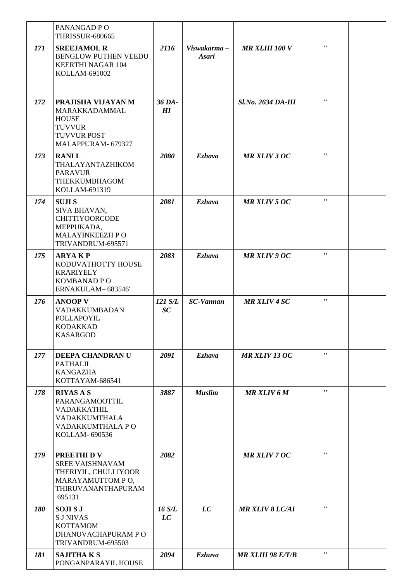|     | PANANGAD PO<br><b>THRISSUR-680665</b>                                                                                  |                 |                              |                          |                |  |
|-----|------------------------------------------------------------------------------------------------------------------------|-----------------|------------------------------|--------------------------|----------------|--|
| 171 | <b>SREEJAMOL R</b><br>BENGLOW PUTHEN VEEDU<br><b>KEERTHI NAGAR 104</b><br>KOLLAM-691002                                | 2116            | Viswakarma -<br><b>Asari</b> | <b>MR XLIII 100 V</b>    | $\mathbf{r}$   |  |
| 172 | PRAJISHA VIJAYAN M<br>MARAKKADAMMAL<br><b>HOUSE</b><br><b>TUVVUR</b><br>TUVVUR POST<br>MALAPPURAM- 679327              | 36 DA-<br>$H$ I |                              | <b>Sl.No. 2634 DA-HI</b> | $\mathbf{r}$   |  |
| 173 | <b>RANIL</b><br>THALAYANTAZHIKOM<br><b>PARAVUR</b><br><b>THEKKUMBHAGOM</b><br>KOLLAM-691319                            | 2080            | <b>Ezhava</b>                | <b>MR XLIV 3 OC</b>      | $\mathbf{r}$   |  |
| 174 | <b>SUJIS</b><br>SIVA BHAVAN,<br><b>CHITTIYOORCODE</b><br>MEPPUKADA,<br>MALAYINKEEZH P O<br>TRIVANDRUM-695571           | 2081            | <b>Ezhava</b>                | <b>MR XLIV 5 OC</b>      | $\mathbf{r}$ , |  |
| 175 | <b>ARYAKP</b><br>KODUVATHOTTY HOUSE<br><b>KRARIYELY</b><br><b>KOMBANAD P O</b><br>ERNAKULAM-683546'                    | 2083            | <b>Ezhava</b>                | <b>MR XLIV 9 OC</b>      | $\mathbf{r}$   |  |
| 176 | <b>ANOOP V</b><br>VADAKKUMBADAN<br>POLLAPOYIL<br><b>KODAKKAD</b><br><b>KASARGOD</b>                                    | 121 S/L<br>SC   | <b>SC-Vannan</b>             | <b>MR XLIV 4 SC</b>      | $\mathbf{r}$ , |  |
| 177 | <b>DEEPA CHANDRAN U</b><br>PATHALIL<br><b>KANGAZHA</b><br>KOTTAYAM-686541                                              | 2091            | <b>Ezhava</b>                | <b>MR XLIV 13 OC</b>     | $\mathbf{r}$ , |  |
| 178 | <b>RIYAS A S</b><br>PARANGAMOOTTIL<br><b>VADAKKATHIL</b><br><b>VADAKKUMTHALA</b><br>VADAKKUMTHALA PO<br>KOLLAM- 690536 | 3887            | <b>Muslim</b>                | <b>MR XLIV 6 M</b>       | $\mathbf{r}$   |  |
| 179 | PREETHI D V<br><b>SREE VAISHNAVAM</b><br>THERIYIL, CHULLIYOOR<br>MARAYAMUTTOM PO,<br>THIRUVANANTHAPURAM<br>695131      | 2082            |                              | <b>MR XLIV 7 OC</b>      | $\mathbf{r}$ , |  |
| 180 | <b>SOJISJ</b><br><b>SJNIVAS</b><br><b>KOTTAMOM</b><br>DHANUVACHAPURAM PO<br>TRIVANDRUM-695503                          | 16 S/L<br>LC    | LC                           | <b>MR XLIV 8 LC/AI</b>   | $\pmb{r}$      |  |
| 181 | <b>SAJITHAKS</b><br>PONGANPARAYIL HOUSE                                                                                | 2094            | <b>Ezhuva</b>                | <b>MR XLIII 98 E/T/B</b> | $\mathbf{r}$   |  |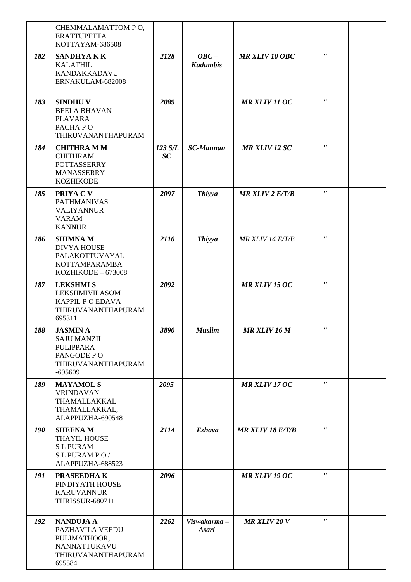|            | CHEMMALAMATTOM PO,<br><b>ERATTUPETTA</b><br>KOTTAYAM-686508                                                |               |                             |                         |              |  |
|------------|------------------------------------------------------------------------------------------------------------|---------------|-----------------------------|-------------------------|--------------|--|
| 182        | <b>SANDHYAKK</b><br><b>KALATHIL</b><br>KANDAKKADAVU<br>ERNAKULAM-682008                                    | 2128          | $OBC -$<br><b>Kudumbis</b>  | <b>MR XLIV 10 OBC</b>   | $\mathbf{r}$ |  |
| 183        | <b>SINDHUV</b><br><b>BEELA BHAVAN</b><br><b>PLAVARA</b><br>PACHA PO<br>THIRUVANANTHAPURAM                  | 2089          |                             | <b>MR XLIV 11 OC</b>    | $\mathbf{r}$ |  |
| 184        | <b>CHITHRA M M</b><br><b>CHITHRAM</b><br><b>POTTASSERRY</b><br><b>MANASSERRY</b><br><b>KOZHIKODE</b>       | 123 S/L<br>SC | <b>SC-Mannan</b>            | <b>MR XLIV 12 SC</b>    | $\mathbf{r}$ |  |
| 185        | PRIYA C V<br><b>PATHMANIVAS</b><br><b>VALIYANNUR</b><br><b>VARAM</b><br><b>KANNUR</b>                      | 2097          | <b>Thiyya</b>               | $MR$ XLIV 2 E/T/B       | $\mathbf{r}$ |  |
| 186        | <b>SHIMNAM</b><br><b>DIVYA HOUSE</b><br>PALAKOTTUVAYAL<br>KOTTAMPARAMBA<br>KOZHIKODE - 673008              | 2110          | <b>Thiyya</b>               | MR XLIV 14 E/T/B        | $\mathbf{r}$ |  |
| 187        | <b>LEKSHMIS</b><br><b>LEKSHMIVILASOM</b><br><b>KAPPIL P O EDAVA</b><br>THIRUVANANTHAPURAM<br>695311        | 2092          |                             | <b>MR XLIV 15 OC</b>    | $\pmb{r}$ ,  |  |
| 188        | <b>JASMIN A</b><br><b>SAJU MANZIL</b><br><b>PULIPPARA</b><br>PANGODE PO<br>THIRUVANANTHAPURAM<br>$-695609$ | 3890          | <b>Muslim</b>               | <b>MR XLIV 16 M</b>     | $\mathbf{r}$ |  |
| 189        | <b>MAYAMOL S</b><br><b>VRINDAVAN</b><br>THAMALLAKKAL<br>THAMALLAKKAL,<br>ALAPPUZHA-690548                  | 2095          |                             | MR XLIV 17 OC           | $\mathbf{r}$ |  |
| <b>190</b> | <b>SHEENAM</b><br>THAYIL HOUSE<br><b>SL PURAM</b><br>SL PURAMPO/<br>ALAPPUZHA-688523                       | 2114          | <b>Ezhava</b>               | <b>MR XLIV 18 E/T/B</b> | $\mathbf{r}$ |  |
| 191        | PRASEEDHAK<br>PINDIYATH HOUSE<br><b>KARUVANNUR</b><br><b>THRISSUR-680711</b>                               | 2096          |                             | <b>MR XLIV 19 OC</b>    | $\mathbf{r}$ |  |
| 192        | <b>NANDUJA A</b><br>PAZHAVILA VEEDU<br>PULIMATHOOR,<br>NANNATTUKAVU<br>THIRUVANANTHAPURAM<br>695584        | 2262          | Viswakarma-<br><b>Asari</b> | <b>MR XLIV 20 V</b>     | $\pmb{r}$ ,  |  |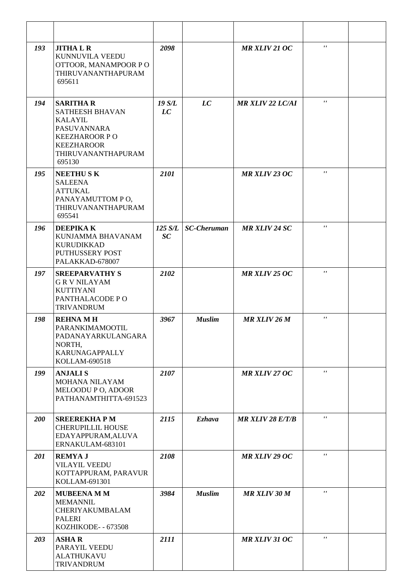| 193 | <b>JITHALR</b><br>KUNNUVILA VEEDU<br>OTTOOR, MANAMPOOR PO<br>THIRUVANANTHAPURAM<br>695611                                                         | 2098                 |                    | MR XLIV 21 OC           | $\mathbf{r}$       |  |
|-----|---------------------------------------------------------------------------------------------------------------------------------------------------|----------------------|--------------------|-------------------------|--------------------|--|
| 194 | <b>SARITHA R</b><br>SATHEESH BHAVAN<br><b>KALAYIL</b><br>PASUVANNARA<br><b>KEEZHAROOR PO</b><br><b>KEEZHAROOR</b><br>THIRUVANANTHAPURAM<br>695130 | 19 S/L<br>LC         | LC                 | <b>MR XLIV 22 LC/AI</b> | $\mathbf{r}$       |  |
| 195 | <b>NEETHUSK</b><br><b>SALEENA</b><br><b>ATTUKAL</b><br>PANAYAMUTTOM PO,<br>THIRUVANANTHAPURAM<br>695541                                           | 2101                 |                    | <b>MR XLIV 23 OC</b>    | $\mathbf{r}$       |  |
| 196 | <b>DEEPIKAK</b><br>KUNJAMMA BHAVANAM<br>KURUDIKKAD<br>PUTHUSSERY POST<br>PALAKKAD-678007                                                          | 125 S/L<br><b>SC</b> | <b>SC-Cheruman</b> | <b>MR XLIV 24 SC</b>    | $\mathbf{r}$       |  |
| 197 | <b>SREEPARVATHY S</b><br><b>GRVNILAYAM</b><br><b>KUTTIYANI</b><br>PANTHALACODE PO<br><b>TRIVANDRUM</b>                                            | 2102                 |                    | <b>MR XLIV 25 OC</b>    | $\mathbf{r}$       |  |
| 198 | <b>REHNAMH</b><br>PARANKIMAMOOTIL<br>PADANAYARKULANGARA<br>NORTH,<br><b>KARUNAGAPPALLY</b><br>KOLLAM-690518                                       | 3967                 | <b>Muslim</b>      | <b>MR XLIV 26 M</b>     | $\pmb{\mathsf{r}}$ |  |
| 199 | <b>ANJALIS</b><br>MOHANA NILAYAM<br>MELOODU P O, ADOOR<br>PATHANAMTHITTA-691523                                                                   | 2107                 |                    | <b>MR XLIV 27 OC</b>    | $\pmb{\mathsf{r}}$ |  |
| 200 | <b>SREEREKHAPM</b><br><b>CHERUPILLIL HOUSE</b><br>EDAYAPPURAM, ALUVA<br>ERNAKULAM-683101                                                          | 2115                 | <b>Ezhava</b>      | <b>MR XLIV 28 E/T/B</b> | $\mathbf{r}$       |  |
| 201 | <b>REMYAJ</b><br><b>VILAYIL VEEDU</b><br>KOTTAPPURAM, PARAVUR<br>KOLLAM-691301                                                                    | 2108                 |                    | <b>MR XLIV 29 OC</b>    | $\pmb{\mathsf{r}}$ |  |
| 202 | <b>MUBEENA M M</b><br><b>MEMANNIL</b><br>CHERIYAKUMBALAM<br><b>PALERI</b><br>KOZHIKODE- - 673508                                                  | 3984                 | <b>Muslim</b>      | <b>MR XLIV 30 M</b>     | $\mathbf{r}$       |  |
| 203 | <b>ASHAR</b><br>PARAYIL VEEDU<br><b>ALATHUKAVU</b><br><b>TRIVANDRUM</b>                                                                           | 2111                 |                    | <b>MR XLIV 31 OC</b>    | $\mathbf{r}$       |  |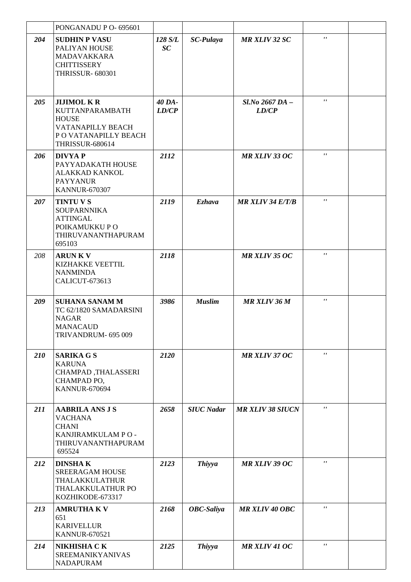|     | PONGANADU P O- 695601                                                                                                        |                 |                   |                         |                           |  |
|-----|------------------------------------------------------------------------------------------------------------------------------|-----------------|-------------------|-------------------------|---------------------------|--|
| 204 | <b>SUDHIN P VASU</b><br>PALIYAN HOUSE<br><b>MADAVAKKARA</b><br><b>CHITTISSERY</b><br><b>THRISSUR- 680301</b>                 | 128 S/L<br>SC   | <b>SC-Pulaya</b>  | <b>MR XLIV 32 SC</b>    | $\mathbf{r}$              |  |
| 205 | <b>JIJIMOL KR</b><br>KUTTANPARAMBATH<br><b>HOUSE</b><br>VATANAPILLY BEACH<br>P O VATANAPILLY BEACH<br><b>THRISSUR-680614</b> | 40 DA-<br>LD/CP |                   | Sl.No 2667 DA-<br>LD/CP | $\mathbf{r}$ $\mathbf{r}$ |  |
| 206 | <b>DIVYAP</b><br>PAYYADAKATH HOUSE<br>ALAKKAD KANKOL<br><b>PAYYANUR</b><br><b>KANNUR-670307</b>                              | 2112            |                   | <b>MR XLIV 33 OC</b>    | $\pmb{\mathsf{r}}$        |  |
| 207 | <b>TINTU V S</b><br><b>SOUPARNNIKA</b><br><b>ATTINGAL</b><br>POIKAMUKKU PO<br>THIRUVANANTHAPURAM<br>695103                   | 2119            | <b>Ezhava</b>     | <b>MR XLIV 34 E/T/B</b> | $\pmb{\mathsf{r}}$        |  |
| 208 | <b>ARUNKV</b><br>KIZHAKKE VEETTIL<br><b>NANMINDA</b><br>CALICUT-673613                                                       | 2118            |                   | <b>MR XLIV 35 OC</b>    | $\pmb{\mathsf{r}}$        |  |
| 209 | <b>SUHANA SANAM M</b><br>TC 62/1820 SAMADARSINI<br><b>NAGAR</b><br><b>MANACAUD</b><br>TRIVANDRUM- 695 009                    | 3986            | <b>Muslim</b>     | <b>MR XLIV 36 M</b>     | $\mathbf{r}$              |  |
| 210 | <b>SARIKA G S</b><br><b>KARUNA</b><br>CHAMPAD, THALASSERI<br>CHAMPAD PO,<br><b>KANNUR-670694</b>                             | 2120            |                   | <b>MR XLIV 37 OC</b>    | $\pmb{r}$ $\pmb{r}$       |  |
| 211 | <b>AABRILA ANS J S</b><br><b>VACHANA</b><br><b>CHANI</b><br>KANJIRAMKULAM PO-<br>THIRUVANANTHAPURAM<br>695524                | 2658            | <b>SIUC Nadar</b> | <b>MR XLIV 38 SIUCN</b> | $\mathbf{r}$              |  |
| 212 | <b>DINSHAK</b><br><b>SREERAGAM HOUSE</b><br>THALAKKULATHUR<br>THALAKKULATHUR PO<br>KOZHIKODE-673317                          | 2123            | <b>Thiyya</b>     | <b>MR XLIV 39 OC</b>    | $\pmb{r}$ ,               |  |
| 213 | <b>AMRUTHA K V</b><br>651<br><b>KARIVELLUR</b><br><b>KANNUR-670521</b>                                                       | 2168            | <b>OBC-Saliya</b> | <b>MR XLIV 40 OBC</b>   | $\mathbf{r}$              |  |
| 214 | <b>NIKHISHA CK</b><br><b>SREEMANIKYANIVAS</b><br><b>NADAPURAM</b>                                                            | 2125            | <b>Thiyya</b>     | <b>MR XLIV 41 OC</b>    | $\mathbf{r}$              |  |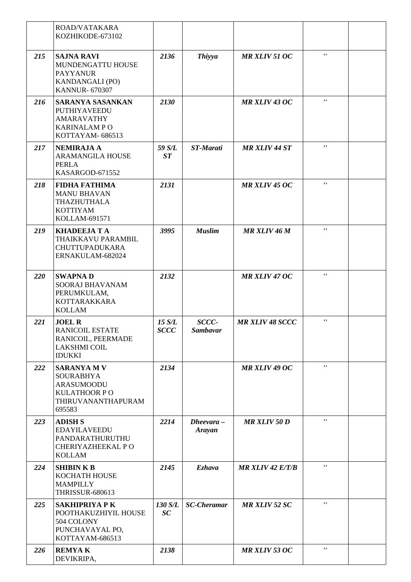|     | ROAD/VATAKARA<br>KOZHIKODE-673102                                                                                  |                       |                          |                        |                |  |
|-----|--------------------------------------------------------------------------------------------------------------------|-----------------------|--------------------------|------------------------|----------------|--|
| 215 | <b>SAJNA RAVI</b><br>MUNDENGATTU HOUSE<br><b>PAYYANUR</b><br>KANDANGALI (PO)<br><b>KANNUR- 670307</b>              | 2136                  | <b>Thiyya</b>            | <b>MR XLIV 51 OC</b>   | $\mathbf{r}$   |  |
| 216 | <b>SARANYA SASANKAN</b><br>PUTHIYAVEEDU<br><b>AMARAVATHY</b><br><b>KARINALAM PO</b><br>KOTTAYAM-686513             | 2130                  |                          | <b>MR XLIV 43 OC</b>   | $\mathbf{r}$   |  |
| 217 | <b>NEMIRAJA A</b><br><b>ARAMANGILA HOUSE</b><br><b>PERLA</b><br>KASARGOD-671552                                    | 59 S/L<br>ST          | ST-Marati                | <b>MR XLIV 44 ST</b>   | $\mathbf{r}$   |  |
| 218 | <b>FIDHA FATHIMA</b><br><b>MANU BHAVAN</b><br>THAZHUTHALA<br><b>KOTTIYAM</b><br>KOLLAM-691571                      | 2131                  |                          | <b>MR XLIV 45 OC</b>   | $\mathbf{r}$   |  |
| 219 | <b>KHADEEJA T A</b><br>THAIKKAVU PARAMBIL<br><b>CHUTTUPADUKARA</b><br>ERNAKULAM-682024                             | 3995                  | <b>Muslim</b>            | MR XLIV 46 M           | $\mathbf{r}$   |  |
| 220 | <b>SWAPNAD</b><br>SOORAJ BHAVANAM<br>PERUMKULAM,<br><b>KOTTARAKKARA</b><br><b>KOLLAM</b>                           | 2132                  |                          | <b>MR XLIV 47 OC</b>   | $\mathbf{r}$   |  |
| 221 | <b>JOEL R</b><br><b>RANICOIL ESTATE</b><br>RANICOIL, PEERMADE<br><b>LAKSHMI COIL</b><br><b>IDUKKI</b>              | 15 S/L<br><b>SCCC</b> | SCCC-<br><b>Sambavar</b> | <b>MR XLIV 48 SCCC</b> | $\mathbf{r}$   |  |
| 222 | <b>SARANYA M V</b><br><b>SOURABHYA</b><br><b>ARASUMOODU</b><br><b>KULATHOOR PO</b><br>THIRUVANANTHAPURAM<br>695583 | 2134                  |                          | MR XLIV 49 OC          | $\mathbf{r}$   |  |
| 223 | <b>ADISH S</b><br><b>EDAYILAVEEDU</b><br>PANDARATHURUTHU<br>CHERIYAZHEEKAL PO<br><b>KOLLAM</b>                     | 2214                  | $Dheevara -$<br>Arayan   | <b>MR XLIV 50 D</b>    | $\mathbf{r}$ , |  |
| 224 | <b>SHIBIN K B</b><br>KOCHATH HOUSE<br><b>MAMPILLY</b><br><b>THRISSUR-680613</b>                                    | 2145                  | <b>Ezhava</b>            | $MR$ XLIV 42 $E/T/B$   | $\mathbf{r}$   |  |
| 225 | <b>SAKHIPRIYA P K</b><br>POOTHAKUZHIYIL HOUSE<br>504 COLONY<br>PUNCHAVAYAL PO,<br>KOTTAYAM-686513                  | 130 S/L<br>SC         | <b>SC-Cheramar</b>       | <b>MR XLIV 52 SC</b>   | $\mathbf{r}$ , |  |
| 226 | <b>REMYAK</b><br>DEVIKRIPA,                                                                                        | 2138                  |                          | <b>MR XLIV 53 OC</b>   | $\mathbf{r}$   |  |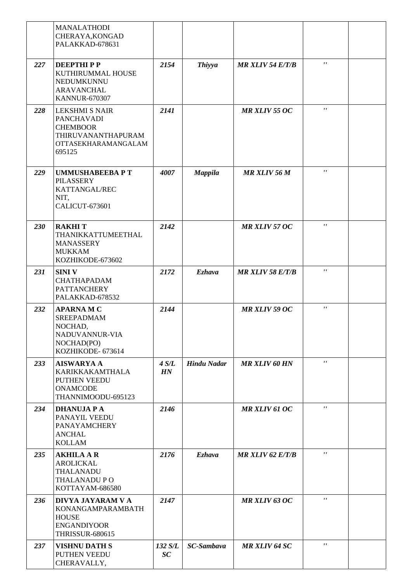|     | <b>MANALATHODI</b><br>CHERAYA, KONGAD<br>PALAKKAD-678631                                                             |               |                    |                         |                           |  |
|-----|----------------------------------------------------------------------------------------------------------------------|---------------|--------------------|-------------------------|---------------------------|--|
| 227 | <b>DEEPTHIPP</b><br>KUTHIRUMMAL HOUSE<br>NEDUMKUNNU<br><b>ARAVANCHAL</b><br><b>KANNUR-670307</b>                     | 2154          | <b>Thiyya</b>      | <b>MR XLIV 54 E/T/B</b> | $\mathbf{r}$ $\mathbf{r}$ |  |
| 228 | <b>LEKSHMI S NAIR</b><br><b>PANCHAVADI</b><br><b>CHEMBOOR</b><br>THIRUVANANTHAPURAM<br>OTTASEKHARAMANGALAM<br>695125 | 2141          |                    | <b>MR XLIV 55 OC</b>    | $\pmb{r}$ ,               |  |
| 229 | <b>UMMUSHABEEBA P T</b><br><b>PILASSERY</b><br>KATTANGAL/REC<br>NIT,<br>CALICUT-673601                               | 4007          | <b>Mappila</b>     | <b>MR XLIV 56 M</b>     | $\mathbf{r}$              |  |
| 230 | <b>RAKHIT</b><br>THANIKKATTUMEETHAL<br><b>MANASSERY</b><br><b>MUKKAM</b><br>KOZHIKODE-673602                         | 2142          |                    | <b>MR XLIV 57 OC</b>    | $\mathbf{r}$              |  |
| 231 | <b>SINIV</b><br><b>CHATHAPADAM</b><br><b>PATTANCHERY</b><br>PALAKKAD-678532                                          | 2172          | <b>Ezhava</b>      | <b>MR XLIV 58 E/T/B</b> | $\mathbf{r}$              |  |
| 232 | <b>APARNAMC</b><br><b>SREEPADMAM</b><br>NOCHAD,<br>NADUVANNUR-VIA<br>NOCHAD(PO)<br>KOZHIKODE- 673614                 | 2144          |                    | <b>MR XLIV 59 OC</b>    | $\pmb{r}$ ,               |  |
| 233 | <b>AISWARYA A</b><br>KARIKKAKAMTHALA<br>PUTHEN VEEDU<br><b>ONAMCODE</b><br>THANNIMOODU-695123                        | 4 S/L<br>HN   | <b>Hindu Nadar</b> | <b>MR XLIV 60 HN</b>    | $\mathbf{r}$              |  |
| 234 | <b>DHANUJA P A</b><br>PANAYIL VEEDU<br>PANAYAMCHERY<br><b>ANCHAL</b><br><b>KOLLAM</b>                                | 2146          |                    | <b>MR XLIV 61 OC</b>    | $\mathbf{r}$              |  |
| 235 | <b>AKHILA A R</b><br><b>AROLICKAL</b><br>THALANADU<br>THALANADU PO<br>KOTTAYAM-686580                                | 2176          | <b>Ezhava</b>      | <b>MR XLIV 62 E/T/B</b> | $\pmb{r}$ ,               |  |
| 236 | DIVYA JAYARAM V A<br>KONANGAMPARAMBATH<br><b>HOUSE</b><br><b>ENGANDIYOOR</b><br><b>THRISSUR-680615</b>               | 2147          |                    | <b>MR XLIV 63 OC</b>    | $\pmb{r}$                 |  |
| 237 | <b>VISHNU DATH S</b><br>PUTHEN VEEDU<br>CHERAVALLY,                                                                  | 132 S/L<br>SC | <b>SC-Sambava</b>  | <b>MR XLIV 64 SC</b>    | $\pmb{r}$ ,               |  |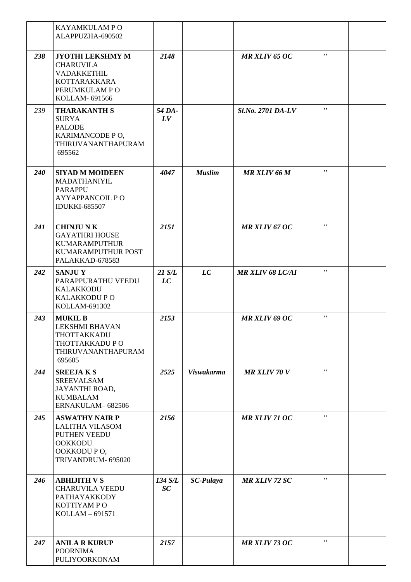|     | KAYAMKULAM P O<br>ALAPPUZHA-690502                                                                                    |               |                   |                          |                |  |
|-----|-----------------------------------------------------------------------------------------------------------------------|---------------|-------------------|--------------------------|----------------|--|
| 238 | <b>JYOTHI LEKSHMY M</b><br><b>CHARUVILA</b><br>VADAKKETHIL<br><b>KOTTARAKKARA</b><br>PERUMKULAM PO<br>KOLLAM- 691566  | 2148          |                   | <b>MR XLIV 65 OC</b>     | $\mathbf{r}$   |  |
| 239 | <b>THARAKANTH S</b><br><b>SURYA</b><br><b>PALODE</b><br>KARIMANCODE PO,<br>THIRUVANANTHAPURAM<br>695562               | 54 DA-<br>LV  |                   | <b>Sl.No. 2701 DA-LV</b> | $\mathbf{r}$ , |  |
| 240 | <b>SIYAD M MOIDEEN</b><br>MADATHANIYIL<br><b>PARAPPU</b><br><b>AYYAPPANCOIL PO</b><br><b>IDUKKI-685507</b>            | 4047          | <b>Muslim</b>     | MR XLIV 66 M             | $\pmb{r}$ ,    |  |
| 241 | <b>CHINJUNK</b><br><b>GAYATHRI HOUSE</b><br><b>KUMARAMPUTHUR</b><br>KUMARAMPUTHUR POST<br>PALAKKAD-678583             | 2151          |                   | <b>MR XLIV 67 OC</b>     | $\mathbf{r}$ , |  |
| 242 | <b>SANJUY</b><br>PARAPPURATHU VEEDU<br><b>KALAKKODU</b><br>KALAKKODU P O<br>KOLLAM-691302                             | 21 S/L<br>LC  | LC                | <b>MR XLIV 68 LC/AI</b>  | $\mathbf{r}$ , |  |
| 243 | <b>MUKIL B</b><br><b>LEKSHMI BHAVAN</b><br>THOTTAKKADU<br>THOTTAKKADU P O<br>THIRUVANANTHAPURAM<br>695605             | 2153          |                   | <b>MR XLIV 69 OC</b>     | $\mathbf{r}$ , |  |
| 244 | <b>SREEJAKS</b><br><b>SREEVALSAM</b><br>JAYANTHI ROAD,<br><b>KUMBALAM</b><br>ERNAKULAM-682506                         | 2525          | <b>Viswakarma</b> | <b>MR XLIV 70 V</b>      | $\mathbf{r}$ , |  |
| 245 | <b>ASWATHY NAIR P</b><br><b>LALITHA VILASOM</b><br>PUTHEN VEEDU<br><b>OOKKODU</b><br>OOKKODUPO,<br>TRIVANDRUM- 695020 | 2156          |                   | MR XLIV 71 OC            | $\mathbf{r}$   |  |
| 246 | <b>ABHIJITH V S</b><br><b>CHARUVILA VEEDU</b><br>PATHAYAKKODY<br>KOTTIYAM PO<br>KOLLAM-691571                         | 134 S/L<br>SC | <b>SC-Pulaya</b>  | <b>MR XLIV 72 SC</b>     | $\mathbf{r}$   |  |
| 247 | <b>ANILA R KURUP</b><br><b>POORNIMA</b><br>PULIYOORKONAM                                                              | 2157          |                   | MR XLIV 73 OC            | $\mathbf{r}$   |  |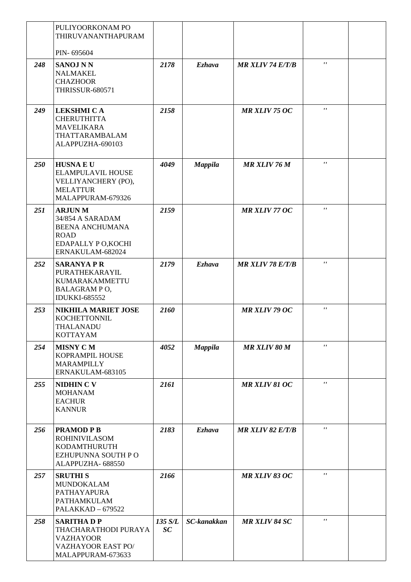|     | PULIYOORKONAM PO<br>THIRUVANANTHAPURAM                                                                               |               |                    |                         |                    |  |
|-----|----------------------------------------------------------------------------------------------------------------------|---------------|--------------------|-------------------------|--------------------|--|
|     | PIN-695604                                                                                                           |               |                    |                         |                    |  |
| 248 | <b>SANOJ N N</b><br><b>NALMAKEL</b><br><b>CHAZHOOR</b><br><b>THRISSUR-680571</b>                                     | 2178          | <b>Ezhava</b>      | <b>MR XLIV 74 E/T/B</b> | $\mathbf{r}$       |  |
| 249 | <b>LEKSHMI CA</b><br><b>CHERUTHITTA</b><br><b>MAVELIKARA</b><br>THATTARAMBALAM<br>ALAPPUZHA-690103                   | 2158          |                    | <b>MR XLIV 75 OC</b>    | $\pmb{r}$ ,        |  |
| 250 | <b>HUSNAEU</b><br>ELAMPULAVIL HOUSE<br>VELLIYANCHERY (PO),<br><b>MELATTUR</b><br>MALAPPURAM-679326                   | 4049          | <b>Mappila</b>     | <b>MR XLIV 76 M</b>     | $\mathbf{r}$       |  |
| 251 | <b>ARJUNM</b><br>34/854 A SARADAM<br><b>BEENA ANCHUMANA</b><br><b>ROAD</b><br>EDAPALLY PO, KOCHI<br>ERNAKULAM-682024 | 2159          |                    | <b>MR XLIV 77 OC</b>    | $\mathbf{r}$       |  |
| 252 | <b>SARANYA P R</b><br>PURATHEKARAYIL<br>KUMARAKAMMETTU<br>BALAGRAM PO,<br><b>IDUKKI-685552</b>                       | 2179          | <b>Ezhava</b>      | <b>MR XLIV 78 E/T/B</b> | $\pmb{\mathsf{r}}$ |  |
| 253 | <b>NIKHILA MARIET JOSE</b><br><b>KOCHETTONNIL</b><br>THALANADU<br><b>KOTTAYAM</b>                                    | 2160          |                    | <b>MR XLIV 79 OC</b>    | $\mathbf{r}$       |  |
| 254 | <b>MISNY CM</b><br>KOPRAMPIL HOUSE<br>MARAMPILLY<br>ERNAKULAM-683105                                                 | 4052          | <b>Mappila</b>     | <b>MR XLIV 80 M</b>     | $\mathbf{r}$       |  |
| 255 | <b>NIDHIN C V</b><br><b>MOHANAM</b><br><b>EACHUR</b><br><b>KANNUR</b>                                                | 2161          |                    | <b>MR XLIV 81 OC</b>    | $\mathbf{r}$       |  |
| 256 | <b>PRAMOD P B</b><br><b>ROHINIVILASOM</b><br>KODAMTHURUTH<br>EZHUPUNNA SOUTH PO<br>ALAPPUZHA- 688550                 | 2183          | <b>Ezhava</b>      | <b>MR XLIV 82 E/T/B</b> | $\mathbf{r}$       |  |
| 257 | <b>SRUTHIS</b><br><b>MUNDOKALAM</b><br>PATHAYAPURA<br>PATHAMKULAM<br><b>PALAKKAD - 679522</b>                        | 2166          |                    | <b>MR XLIV 83 OC</b>    | $\mathbf{r}$       |  |
| 258 | <b>SARITHADP</b><br>THACHARATHODI PURAYA<br><b>VAZHAYOOR</b><br><b>VAZHAYOOR EAST PO/</b><br>MALAPPURAM-673633       | 135 S/L<br>SC | <b>SC-kanakkan</b> | <b>MR XLIV 84 SC</b>    | $\mathbf{r}$       |  |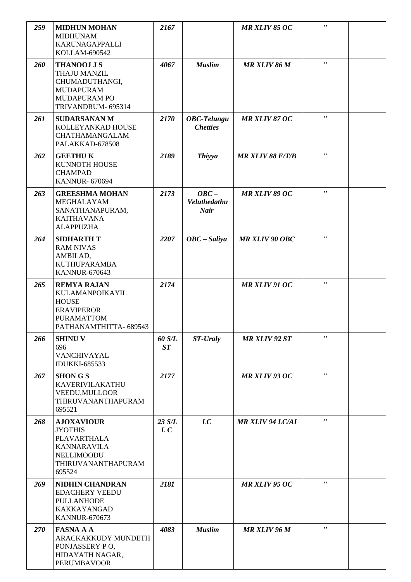| 259 | <b>MIDHUN MOHAN</b><br><b>MIDHUNAM</b><br><b>KARUNAGAPPALLI</b><br>KOLLAM-690542                                         | 2167          |                                        | <b>MR XLIV 85 OC</b>    | $\pmb{\mathsf{r}}$ |  |
|-----|--------------------------------------------------------------------------------------------------------------------------|---------------|----------------------------------------|-------------------------|--------------------|--|
| 260 | <b>THANOOJ J S</b><br>THAJU MANZIL<br>CHUMADUTHANGI,<br><b>MUDAPURAM</b><br><b>MUDAPURAM PO</b><br>TRIVANDRUM- 695314    | 4067          | <b>Muslim</b>                          | MR XLIV 86 M            | $\pmb{\mathsf{r}}$ |  |
| 261 | <b>SUDARSANAN M</b><br>KOLLEYANKAD HOUSE<br>CHATHAMANGALAM<br>PALAKKAD-678508                                            | 2170          | <b>OBC-Telungu</b><br><b>Chetties</b>  | <b>MR XLIV 87 OC</b>    | $\pmb{r}$          |  |
| 262 | <b>GEETHUK</b><br><b>KUNNOTH HOUSE</b><br><b>CHAMPAD</b><br><b>KANNUR-670694</b>                                         | 2189          | <b>Thiyya</b>                          | <b>MR XLIV 88 E/T/B</b> | $\pmb{\mathsf{r}}$ |  |
| 263 | <b>GREESHMA MOHAN</b><br>MEGHALAYAM<br>SANATHANAPURAM,<br><b>KAITHAVANA</b><br><b>ALAPPUZHA</b>                          | 2173          | $OBC -$<br>Veluthedathu<br><b>Nair</b> | <b>MR XLIV 89 OC</b>    | $\pmb{r}$          |  |
| 264 | <b>SIDHARTH T</b><br><b>RAM NIVAS</b><br>AMBILAD,<br><b>KUTHUPARAMBA</b><br><b>KANNUR-670643</b>                         | 2207          | $OBC - Saliya$                         | <b>MR XLIV 90 OBC</b>   | $\mathbf{r}$       |  |
| 265 | <b>REMYA RAJAN</b><br>KULAMANPOIKAYIL<br><b>HOUSE</b><br><b>ERAVIPEROR</b><br><b>PURAMATTOM</b><br>PATHANAMTHITTA-689543 | 2174          |                                        | MR XLIV 91 OC           | $\pmb{r}$          |  |
| 266 | <b>SHINU V</b><br>696<br>VANCHIVAYAL<br><b>IDUKKI-685533</b>                                                             | 60 S/L<br>ST  | ST-Uraly                               | <b>MR XLIV 92 ST</b>    | $\mathbf{r}$       |  |
| 267 | <b>SHONGS</b><br><b>KAVERIVILAKATHU</b><br>VEEDU, MULLOOR<br>THIRUVANANTHAPURAM<br>695521                                | 2177          |                                        | <b>MR XLIV 93 OC</b>    | $\mathbf{r}$       |  |
| 268 | <b>AJOXAVIOUR</b><br><b>JYOTHIS</b><br>PLAVARTHALA<br><b>KANNARAVILA</b><br>NELLIMOODU<br>THIRUVANANTHAPURAM<br>695524   | 23 S/L<br>L C | LC                                     | <b>MR XLIV 94 LC/AI</b> | $\pmb{r}$          |  |
| 269 | <b>NIDHIN CHANDRAN</b><br><b>EDACHERY VEEDU</b><br>PULLANHODE<br><b>KAKKAYANGAD</b><br><b>KANNUR-670673</b>              | 2181          |                                        | <b>MR XLIV 95 OC</b>    | $\mathbf{r}$       |  |
| 270 | <b>FASNA A A</b><br>ARACKAKKUDY MUNDETH<br>PONJASSERY PO,<br>HIDAYATH NAGAR,<br><b>PERUMBAVOOR</b>                       | 4083          | <b>Muslim</b>                          | <b>MR XLIV 96 M</b>     | $\pmb{r}$          |  |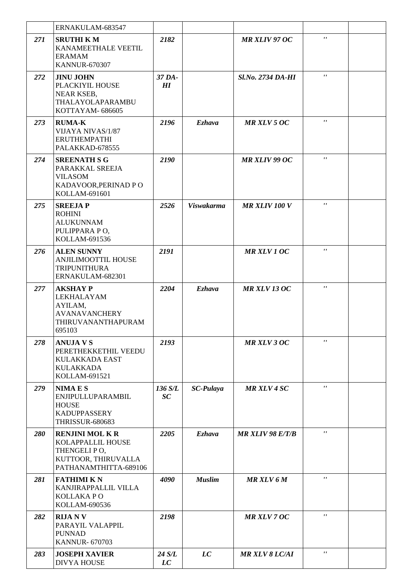|     | ERNAKULAM-683547                                                                                         |               |                   |                          |                     |  |
|-----|----------------------------------------------------------------------------------------------------------|---------------|-------------------|--------------------------|---------------------|--|
| 271 | <b>SRUTHI KM</b><br>KANAMEETHALE VEETIL<br><b>ERAMAM</b><br><b>KANNUR-670307</b>                         | 2182          |                   | <b>MR XLIV 97 OC</b>     | $\mathbf{r}$        |  |
| 272 | <b>JINU JOHN</b><br>PLACKIYIL HOUSE<br>NEAR KSEB,<br>THALAYOLAPARAMBU<br>KOTTAYAM-686605                 | 37 DA-<br>H   |                   | <b>Sl.No. 2734 DA-HI</b> | $\pmb{r}$ $\pmb{r}$ |  |
| 273 | <b>RUMA-K</b><br>VIJAYA NIVAS/1/87<br><b>ERUTHEMPATHI</b><br>PALAKKAD-678555                             | 2196          | <b>Ezhava</b>     | <b>MR XLV 5 OC</b>       | $\pmb{\mathsf{r}}$  |  |
| 274 | <b>SREENATH S G</b><br>PARAKKAL SREEJA<br><b>VILASOM</b><br>KADAVOOR, PERINAD PO<br>KOLLAM-691601        | 2190          |                   | <b>MR XLIV 99 OC</b>     | $\pmb{r}$ $\pmb{r}$ |  |
| 275 | <b>SREEJAP</b><br><b>ROHINI</b><br><b>ALUKUNNAM</b><br>PULIPPARA PO,<br>KOLLAM-691536                    | 2526          | <b>Viswakarma</b> | <b>MR XLIV 100 V</b>     | $\mathbf{r}$        |  |
| 276 | <b>ALEN SUNNY</b><br><b>ANJILIMOOTTIL HOUSE</b><br><b>TRIPUNITHURA</b><br>ERNAKULAM-682301               | 2191          |                   | <b>MR XLV 1 OC</b>       | $\pmb{\mathsf{r}}$  |  |
| 277 | <b>AKSHAY P</b><br>LEKHALAYAM<br>AYILAM,<br><b>AVANAVANCHERY</b><br>THIRUVANANTHAPURAM<br>695103         | 2204          | <b>Ezhava</b>     | <b>MR XLV 13 OC</b>      | $\pmb{\mathsf{r}}$  |  |
| 278 | <b>ANUJA V S</b><br>PERETHEKKETHIL VEEDU<br>KULAKKADA EAST<br><b>KULAKKADA</b><br>KOLLAM-691521          | 2193          |                   | <b>MR XLV 3 OC</b>       | $\mathbf{r}$        |  |
| 279 | <b>NIMAES</b><br>ENJIPULLUPARAMBIL<br><b>HOUSE</b><br><b>KADUPPASSERY</b><br><b>THRISSUR-680683</b>      | 136 S/L<br>SC | <b>SC-Pulaya</b>  | <b>MR XLV 4 SC</b>       | $\mathbf{r}$        |  |
| 280 | <b>RENJINI MOLKR</b><br>KOLAPPALLIL HOUSE<br>THENGELIPO,<br>KUTTOOR, THIRUVALLA<br>PATHANAMTHITTA-689106 | 2205          | <b>Ezhava</b>     | <b>MR XLIV 98 E/T/B</b>  | $\mathbf{r}$        |  |
| 281 | <b>FATHIMI KN</b><br>KANJIRAPPALLIL VILLA<br><b>KOLLAKAPO</b><br>KOLLAM-690536                           | 4090          | <b>Muslim</b>     | <b>MR XLV 6 M</b>        | $\pmb{r}$ ,         |  |
| 282 | <b>RIJANV</b><br>PARAYIL VALAPPIL<br><b>PUNNAD</b><br><b>KANNUR- 670703</b>                              | 2198          |                   | <b>MR XLV 7 OC</b>       | $\mathbf{r}$        |  |
| 283 | <b>JOSEPH XAVIER</b><br>DIVYA HOUSE                                                                      | 24 S/L<br>LC  | LC                | <b>MR XLV 8 LC/AI</b>    | $\pmb{r}$ ,         |  |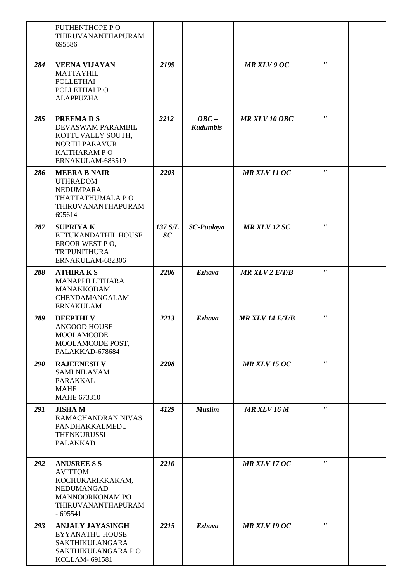|     | PUTHENTHOPE PO<br>THIRUVANANTHAPURAM<br>695586                                                                                      |               |                            |                       |                    |  |
|-----|-------------------------------------------------------------------------------------------------------------------------------------|---------------|----------------------------|-----------------------|--------------------|--|
| 284 | <b>VEENA VIJAYAN</b><br><b>MATTAYHIL</b><br><b>POLLETHAI</b><br>POLLETHAI PO<br><b>ALAPPUZHA</b>                                    | 2199          |                            | <b>MR XLV 9 OC</b>    | $\mathbf{r}$       |  |
| 285 | <b>PREEMADS</b><br>DEVASWAM PARAMBIL<br>KOTTUVALLY SOUTH,<br><b>NORTH PARAVUR</b><br>KAITHARAM PO<br>ERNAKULAM-683519               | 2212          | $OBC -$<br><b>Kudumbis</b> | <b>MR XLV 10 OBC</b>  | $\mathbf{r}$       |  |
| 286 | <b>MEERA B NAIR</b><br><b>UTHRADOM</b><br><b>NEDUMPARA</b><br>THATTATHUMALA PO<br>THIRUVANANTHAPURAM<br>695614                      | 2203          |                            | <b>MR XLV 11 OC</b>   | $\mathbf{r}$       |  |
| 287 | <b>SUPRIYAK</b><br>ETTUKANDATHIL HOUSE<br>EROOR WEST PO,<br><b>TRIPUNITHURA</b><br>ERNAKULAM-682306                                 | 137 S/L<br>SC | <b>SC-Pualaya</b>          | <b>MR XLV 12 SC</b>   | $\mathbf{r}$       |  |
| 288 | <b>ATHIRAKS</b><br>MANAPPILLITHARA<br><b>MANAKKODAM</b><br>CHENDAMANGALAM<br><b>ERNAKULAM</b>                                       | 2206          | <b>Ezhava</b>              | <b>MR XLV 2 E/T/B</b> | $\mathbf{r}$       |  |
| 289 | <b>DEEPTHIV</b><br>ANGOOD HOUSE<br><b>MOOLAMCODE</b><br>MOOLAMCODE POST,<br>PALAKKAD-678684                                         | 2213          | <b>Ezhava</b>              | MR XLV 14 E/T/B       | $\pmb{\mathsf{r}}$ |  |
| 290 | <b>RAJEENESH V</b><br><b>SAMI NILAYAM</b><br>PARAKKAL<br><b>MAHE</b><br><b>MAHE 673310</b>                                          | 2208          |                            | <b>MR XLV 15 OC</b>   | $\mathbf{r}$       |  |
| 291 | <b>JISHAM</b><br>RAMACHANDRAN NIVAS<br>PANDHAKKALMEDU<br><b>THENKURUSSI</b><br><b>PALAKKAD</b>                                      | 4129          | <b>Muslim</b>              | <b>MR XLV 16 M</b>    | $\mathbf{r}$       |  |
| 292 | <b>ANUSREE S S</b><br><b>AVITTOM</b><br>KOCHUKARIKKAKAM,<br>NEDUMANGAD<br><b>MANNOORKONAM PO</b><br>THIRUVANANTHAPURAM<br>$-695541$ | 2210          |                            | <b>MR XLV 17 OC</b>   | $\mathbf{r}$       |  |
| 293 | <b>ANJALY JAYASINGH</b><br>EYYANATHU HOUSE<br><b>SAKTHIKULANGARA</b><br>SAKTHIKULANGARA PO<br>KOLLAM- 691581                        | 2215          | <b>Ezhava</b>              | <b>MR XLV 19 OC</b>   | $\mathbf{r}$       |  |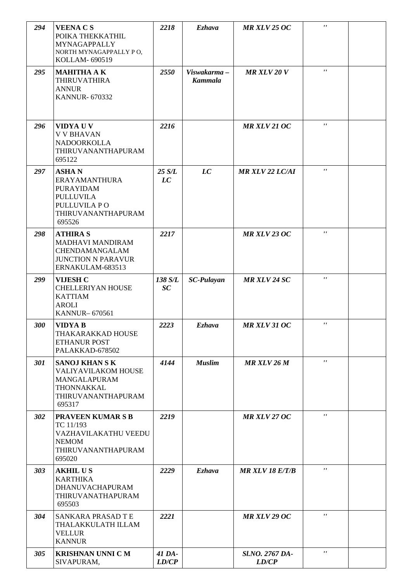| 294 | <b>VEENA CS</b><br>POIKA THEKKATHIL<br>MYNAGAPPALLY<br>NORTH MYNAGAPPALLY PO,<br>KOLLAM- 690519                              | 2218            | <b>Ezhava</b>                 | <b>MR XLV 25 OC</b>      | $\pmb{r}$ ,               |  |
|-----|------------------------------------------------------------------------------------------------------------------------------|-----------------|-------------------------------|--------------------------|---------------------------|--|
| 295 | <b>MAHITHA AK</b><br><b>THIRUVATHIRA</b><br><b>ANNUR</b><br><b>KANNUR-670332</b>                                             | 2550            | Viswakarma-<br><b>Kammala</b> | <b>MR XLV 20 V</b>       | $\mathbf{r}$              |  |
| 296 | VIDYA U V<br><b>V V BHAVAN</b><br>NADOORKOLLA<br>THIRUVANANTHAPURAM<br>695122                                                | 2216            |                               | <b>MR XLV 21 OC</b>      | $\mathbf{r}$ $\mathbf{r}$ |  |
| 297 | <b>ASHAN</b><br><b>ERAYAMANTHURA</b><br><b>PURAYIDAM</b><br><b>PULLUVILA</b><br>PULLUVILA PO<br>THIRUVANANTHAPURAM<br>695526 | 25 S/L<br>LC    | LC                            | <b>MR XLV 22 LC/AI</b>   | $\mathbf{r}$              |  |
| 298 | <b>ATHIRA S</b><br>MADHAVI MANDIRAM<br>CHENDAMANGALAM<br><b>JUNCTION N PARAVUR</b><br>ERNAKULAM-683513                       | 2217            |                               | <b>MR XLV 23 OC</b>      | $\pmb{\mathsf{r}}$        |  |
| 299 | <b>VIJESH C</b><br><b>CHELLERIYAN HOUSE</b><br><b>KATTIAM</b><br><b>AROLI</b><br><b>KANNUR-670561</b>                        | 138 S/L<br>SC   | <b>SC-Pulayan</b>             | <b>MR XLV 24 SC</b>      | $\mathbf{r}$              |  |
| 300 | <b>VIDYAB</b><br>THAKARAKKAD HOUSE<br><b>ETHANUR POST</b><br>PALAKKAD-678502                                                 | 2223            | Ezhava                        | MR XLV 31 OC             | $\pmb{\mathsf{r}}$        |  |
| 301 | <b>SANOJ KHAN S K</b><br>VALIYAVILAKOM HOUSE<br>MANGALAPURAM<br>THONNAKKAL<br>THIRUVANANTHAPURAM<br>695317                   | 4144            | <b>Muslim</b>                 | <b>MR XLV 26 M</b>       | $\pmb{\mathsf{r}}$        |  |
| 302 | <b>PRAVEEN KUMAR S B</b><br>TC 11/193<br>VAZHAVILAKATHU VEEDU<br><b>NEMOM</b><br>THIRUVANANTHAPURAM<br>695020                | 2219            |                               | <b>MR XLV 27 OC</b>      | $\mathbf{r}$              |  |
| 303 | <b>AKHILUS</b><br><b>KARTHIKA</b><br>DHANUVACHAPURAM<br>THIRUVANATHAPURAM<br>695503                                          | 2229            | <b>Ezhava</b>                 | <b>MR XLV 18 E/T/B</b>   | $\pmb{\mathsf{r}}$        |  |
| 304 | SANKARA PRASAD T E<br>THALAKKULATH ILLAM<br><b>VELLUR</b><br><b>KANNUR</b>                                                   | 2221            |                               | <b>MR XLV 29 OC</b>      | $\pmb{r}$                 |  |
| 305 | <b>KRISHNAN UNNI C M</b><br>SIVAPURAM,                                                                                       | 41 DA-<br>LD/CP |                               | Sl.NO. 2767 DA-<br>LD/CP | $\pmb{r}$ ,               |  |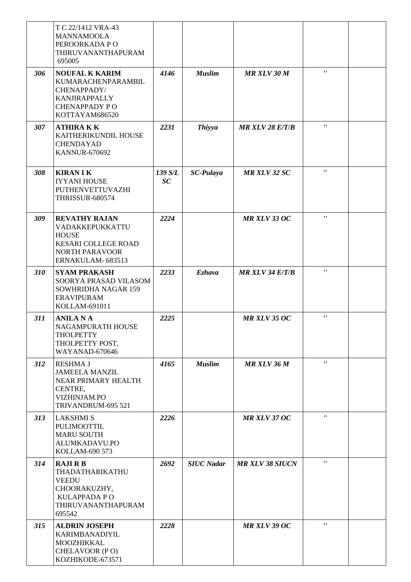|     | T C 22/1412 VRA-43<br><b>MANNAMOOLA</b><br>PEROORKADA PO<br>THIRUVANANTHAPURAM<br>695005                                           |               |                   |                        |                |  |
|-----|------------------------------------------------------------------------------------------------------------------------------------|---------------|-------------------|------------------------|----------------|--|
| 306 | <b>NOUFAL K KARIM</b><br>KUMARACHENPARAMBIL<br>CHENAPPADY/<br><b>KANJIRAPPALLY</b><br><b>CHENAPPADY PO</b><br>KOTTAYAM686520       | 4146          | <b>Muslim</b>     | <b>MR XLV 30 M</b>     | $\mathbf{r}$   |  |
| 307 | <b>ATHIRAKK</b><br>KAITHERIKUNDIL HOUSE<br><b>CHENDAYAD</b><br><b>KANNUR-670692</b>                                                | 2231          | <b>Thiyya</b>     | <b>MR XLV 28 E/T/B</b> | $\pmb{r}$ ,    |  |
| 308 | <b>KIRAN I K</b><br><b>IYYANI HOUSE</b><br>PUTHENVETTUVAZHI<br><b>THRISSUR-680574</b>                                              | 139 S/L<br>SC | <b>SC-Pulaya</b>  | <b>MR XLV 32 SC</b>    | $\pmb{r}$      |  |
| 309 | <b>REVATHY RAJAN</b><br>VADAKKEPUKKATTU<br><b>HOUSE</b><br><b>KESARI COLLEGE ROAD</b><br><b>NORTH PARAVOOR</b><br>ERNAKULAM-683513 | 2224          |                   | <b>MR XLV 33 OC</b>    | $\pmb{r}$ ,    |  |
| 310 | <b>SYAM PRAKASH</b><br>SOORYA PRASAD VILASOM<br>SOWHRIDHA NAGAR 159<br><b>ERAVIPURAM</b><br>KOLLAM-691011                          | 2233          | <b>Ezhava</b>     | <b>MR XLV 34 E/T/B</b> | $\mathbf{r}$   |  |
| 311 | <b>ANILA NA</b><br>NAGAMPURATH HOUSE<br><b>THOLPETTY</b><br>THOLPETTY POST,<br>WAYANAD-670646                                      | 2225          |                   | <b>MR XLV 35 OC</b>    | $\pmb{r}$ ,    |  |
| 312 | <b>RESHMA J</b><br><b>JAMEELA MANZIL</b><br><b>NEAR PRIMARY HEALTH</b><br>CENTRE,<br>VIZHINJAM.PO<br>TRIVANDRUM-695 521            | 4165          | <b>Muslim</b>     | <b>MR XLV 36 M</b>     | $\mathbf{r}$ , |  |
| 313 | <b>LAKSHMI S</b><br>PULIMOOTTIL<br><b>MARU SOUTH</b><br>ALUMKADAVU.PO<br>KOLLAM-690 573                                            | 2226          |                   | MR XLV 37 OC           | $\mathbf{r}$   |  |
| 314 | <b>RAJI R B</b><br>THADATHARIKATHU<br><b>VEEDU</b><br>CHOORAKUZHY,<br>KULAPPADA PO<br>THIRUVANANTHAPURAM<br>695542                 | 2692          | <b>SIUC Nadar</b> | <b>MR XLV 38 SIUCN</b> | $\pmb{r}$ ,    |  |
| 315 | <b>ALDRIN JOSEPH</b><br>KARIMBANADIYIL<br>MOOZHIKKAL<br>CHELAVOOR (PO)<br>KOZHIKODE-673571                                         | 2228          |                   | <b>MR XLV 39 OC</b>    | $\mathbf{r}$   |  |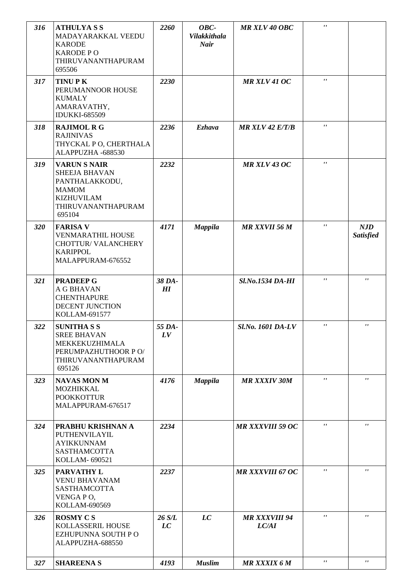| 316 | <b>ATHULYASS</b><br>MADAYARAKKAL VEEDU<br><b>KARODE</b><br><b>KARODE PO</b><br>THIRUVANANTHAPURAM<br>695506                        | 2260         | OBC-<br><b>Vilakkithala</b><br><b>Nair</b> | <b>MR XLV 40 OBC</b>          | $\pmb{r}$    |                         |
|-----|------------------------------------------------------------------------------------------------------------------------------------|--------------|--------------------------------------------|-------------------------------|--------------|-------------------------|
| 317 | <b>TINUPK</b><br>PERUMANNOOR HOUSE<br><b>KUMALY</b><br>AMARAVATHY,<br><b>IDUKKI-685509</b>                                         | 2230         |                                            | MR XLV 41 OC                  | $\mathbf{r}$ |                         |
| 318 | <b>RAJIMOL R G</b><br><b>RAJINIVAS</b><br>THYCKAL PO, CHERTHALA<br>ALAPPUZHA -688530                                               | 2236         | <b>Ezhava</b>                              | <b>MR XLV 42 E/T/B</b>        | $\mathbf{r}$ |                         |
| 319 | <b>VARUN S NAIR</b><br><b>SHEEJA BHAVAN</b><br>PANTHALAKKODU,<br><b>MAMOM</b><br><b>KIZHUVILAM</b><br>THIRUVANANTHAPURAM<br>695104 | 2232         |                                            | <b>MR XLV 43 OC</b>           | $\mathbf{r}$ |                         |
| 320 | <b>FARISA V</b><br><b>VENMARATHIL HOUSE</b><br>CHOTTUR/ VALANCHERY<br><b>KARIPPOL</b><br>MALAPPURAM-676552                         | 4171         | <b>Mappila</b>                             | <b>MR XXVII 56 M</b>          | $\mathbf{r}$ | NJD<br><b>Satisfied</b> |
| 321 | <b>PRADEEP G</b><br>A G BHAVAN<br><b>CHENTHAPURE</b><br>DECENT JUNCTION<br>KOLLAM-691577                                           | 38 DA-<br>H  |                                            | <b>Sl.No.1534 DA-HI</b>       | $\mathbf{r}$ | $\mathbf{r}$            |
| 322 | <b>SUNITHASS</b><br><b>SREE BHAVAN</b><br>MEKKEKUZHIMALA<br>PERUMPAZHUTHOOR PO/<br>THIRUVANANTHAPURAM<br>695126                    | 55 DA-<br>LV |                                            | Sl.No. 1601 DA-LV             | $\pmb{r}$ ,  | $\pmb{r}$ ,             |
| 323 | <b>NAVAS MON M</b><br>MOZHIKKAL<br><b>POOKKOTTUR</b><br>MALAPPURAM-676517                                                          | 4176         | <b>Mappila</b>                             | <b>MR XXXIV 30M</b>           | $\mathbf{r}$ | $\mathbf{r}$            |
| 324 | PRABHU KRISHNAN A<br>PUTHENVILAYIL<br><b>AYIKKUNNAM</b><br>SASTHAMCOTTA<br>KOLLAM- 690521                                          | 2234         |                                            | <b>MR XXXVIII 59 OC</b>       | $\mathbf{r}$ | $\mathbf{r}$            |
| 325 | <b>PARVATHY L</b><br><b>VENU BHAVANAM</b><br>SASTHAMCOTTA<br>VENGA PO,<br>KOLLAM-690569                                            | 2237         |                                            | <b>MR XXXVIII 67 OC</b>       | $\mathbf{r}$ | $\mathbf{r}$            |
| 326 | <b>ROSMY CS</b><br>KOLLASSERIL HOUSE<br>EZHUPUNNA SOUTH PO<br>ALAPPUZHA-688550                                                     | 26 S/L<br>LC | LC                                         | <b>MR XXXVIII 94</b><br>LC/AI | $\mathbf{r}$ | $\mathbf{r}$            |
| 327 | <b>SHAREENA S</b>                                                                                                                  | 4193         | <b>Muslim</b>                              | <b>MR XXXIX 6 M</b>           | $\mathbf{r}$ | $\mathbf{r}$            |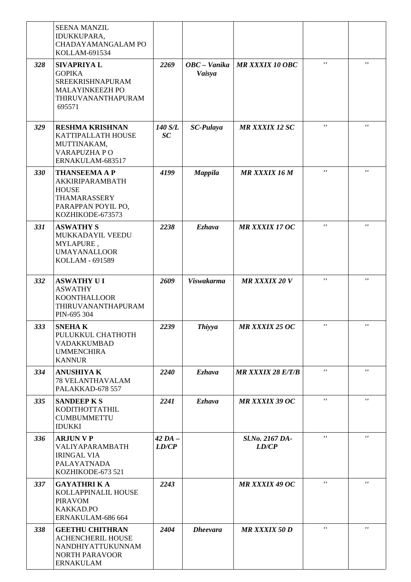|     | <b>SEENA MANZIL</b><br>IDUKKUPARA,<br>CHADAYAMANGALAM PO<br>KOLLAM-691534                                            |                      |                        |                          |                           |                    |
|-----|----------------------------------------------------------------------------------------------------------------------|----------------------|------------------------|--------------------------|---------------------------|--------------------|
| 328 | <b>SIVAPRIYAL</b><br><b>GOPIKA</b><br>SREEKRISHNAPURAM<br>MALAYINKEEZH PO<br>THIRUVANANTHAPURAM<br>695571            | 2269                 | OBC – Vanika<br>Vaisya | <b>MR XXXIX 10 OBC</b>   | $\mathbf{r}$ $\mathbf{r}$ | $\mathbf{r}$       |
| 329 | <b>RESHMA KRISHNAN</b><br>KATTIPALLATH HOUSE<br>MUTTINAKAM,<br><b>VARAPUZHA PO</b><br>ERNAKULAM-683517               | 140 S/L<br>SC        | <b>SC-Pulaya</b>       | <b>MR XXXIX 12 SC</b>    | $\mathbf{r}$              | $\mathbf{r}$       |
| 330 | <b>THANSEEMA A P</b><br>AKKIRIPARAMBATH<br><b>HOUSE</b><br>THAMARASSERY<br>PARAPPAN POYIL PO,<br>KOZHIKODE-673573    | 4199                 | <b>Mappila</b>         | <b>MR XXXIX 16 M</b>     | $\mathbf{r}$              | $\mathbf{r}$       |
| 331 | <b>ASWATHY S</b><br>MUKKADAYIL VEEDU<br>MYLAPURE,<br><b>UMAYANALLOOR</b><br>KOLLAM - 691589                          | 2238                 | <b>Ezhava</b>          | <b>MR XXXIX 17 OC</b>    | $\mathbf{r}$ $\mathbf{r}$ | $\pmb{\mathsf{r}}$ |
| 332 | <b>ASWATHY UI</b><br><b>ASWATHY</b><br><b>KOONTHALLOOR</b><br>THIRUVANANTHAPURAM<br>PIN-695 304                      | 2609                 | <b>Viswakarma</b>      | <b>MR XXXIX 20 V</b>     | $\mathbf{r}$ $\mathbf{r}$ | $^{\prime}$        |
| 333 | <b>SNEHAK</b><br>PULUKKUL CHATHOTH<br><b>VADAKKUMBAD</b><br><b>UMMENCHIRA</b><br><b>KANNUR</b>                       | 2239                 | <b>Thiyya</b>          | MR XXXIX 25 OC           | $\mathbf{r}$              | $\pmb{r}$          |
| 334 | <b>ANUSHIYA K</b><br><b>78 VELANTHAVALAM</b><br>PALAKKAD-678 557                                                     | 2240                 | Ezhava                 | <b>MR XXXIX 28 E/T/B</b> | $\mathbf{r}$              | $\mathbf{r}$       |
| 335 | <b>SANDEEP K S</b><br>KODITHOTTATHIL<br><b>CUMBUMMETTU</b><br><b>IDUKKI</b>                                          | 2241                 | Ezhava                 | <b>MR XXXIX 39 OC</b>    | $\mathbf{r}$              | $\mathbf{r}$       |
| 336 | <b>ARJUN V P</b><br>VALIYAPARAMBATH<br><b>IRINGAL VIA</b><br>PALAYATNADA<br>KOZHIKODE-673 521                        | $42$ DA $-$<br>LD/CP |                        | Sl.No. 2167 DA-<br>LD/CP | $\mathbf{r}$              | $\mathbf{r}$       |
| 337 | <b>GAYATHRI K A</b><br>KOLLAPPINALIL HOUSE<br><b>PIRAVOM</b><br>KAKKAD.PO<br>ERNAKULAM-686 664                       | 2243                 |                        | <b>MR XXXIX 49 OC</b>    | $\mathbf{r}$              | $\mathbf{r}$       |
| 338 | <b>GEETHU CHITHRAN</b><br><b>ACHENCHERIL HOUSE</b><br>NANDHIYATTUKUNNAM<br><b>NORTH PARAVOOR</b><br><b>ERNAKULAM</b> | 2404                 | <b>Dheevara</b>        | <b>MR XXXIX 50 D</b>     | $\mathbf{r}$              | $\mathbf{r}$       |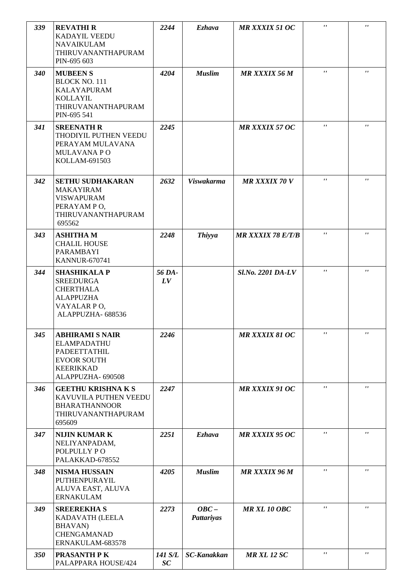| 339 | <b>REVATHIR</b><br><b>KADAYIL VEEDU</b><br><b>NAVAIKULAM</b><br>THIRUVANANTHAPURAM<br>PIN-695 603                           | 2244          | <b>Ezhava</b>                | <b>MR XXXIX 51 OC</b>    | $\mathbf{r}$       | $\mathbf{r}$       |
|-----|-----------------------------------------------------------------------------------------------------------------------------|---------------|------------------------------|--------------------------|--------------------|--------------------|
| 340 | <b>MUBEENS</b><br>BLOCK NO. 111<br><b>KALAYAPURAM</b><br><b>KOLLAYIL</b><br>THIRUVANANTHAPURAM<br>PIN-695 541               | 4204          | <b>Muslim</b>                | <b>MR XXXIX 56 M</b>     | $\mathbf{r}$       | $\pmb{r}$          |
| 341 | <b>SREENATH R</b><br>THODIYIL PUTHEN VEEDU<br>PERAYAM MULAVANA<br><b>MULAVANA PO</b><br>KOLLAM-691503                       | 2245          |                              | <b>MR XXXIX 57 OC</b>    | $\pmb{\mathsf{r}}$ | $\pmb{\mathsf{r}}$ |
| 342 | <b>SETHU SUDHAKARAN</b><br><b>MAKAYIRAM</b><br><b>VISWAPURAM</b><br>PERAYAM PO,<br>THIRUVANANTHAPURAM<br>695562             | 2632          | <b>Viswakarma</b>            | <b>MR XXXIX 70 V</b>     | $^{\prime}$        | $\pmb{r}$          |
| 343 | <b>ASHITHAM</b><br><b>CHALIL HOUSE</b><br>PARAMBAYI<br><b>KANNUR-670741</b>                                                 | 2248          | <b>Thiyya</b>                | <b>MR XXXIX 78 E/T/B</b> | $\mathbf{r}$       | $\pmb{\mathsf{r}}$ |
| 344 | <b>SHASHIKALA P</b><br><b>SREEDURGA</b><br><b>CHERTHALA</b><br><b>ALAPPUZHA</b><br>VAYALAR PO,<br>ALAPPUZHA-688536          | 56 DA-<br>LV  |                              | Sl.No. 2201 DA-LV        | $\mathbf{r}$       | $\mathbf{r}$       |
| 345 | <b>ABHIRAMI S NAIR</b><br>ELAMPADATHU<br><b>PADEETTATHIL</b><br><b>EVOOR SOUTH</b><br><b>KEERIKKAD</b><br>ALAPPUZHA- 690508 | 2246          |                              | <b>MR XXXIX 81 OC</b>    | $\mathbf{r}$       | $\pmb{r}$          |
| 346 | <b>GEETHU KRISHNAKS</b><br>KAVUVILA PUTHEN VEEDU<br><b>BHARATHANNOOR</b><br>THIRUVANANTHAPURAM<br>695609                    | 2247          |                              | <b>MR XXXIX 91 OC</b>    | $\mathbf{r}$       | $\pmb{\mathsf{r}}$ |
| 347 | <b>NIJIN KUMAR K</b><br>NELIYANPADAM,<br>POLPULLY PO<br>PALAKKAD-678552                                                     | 2251          | <b>Ezhava</b>                | <b>MR XXXIX 95 OC</b>    | $\mathbf{r}$       | $\pmb{r}$          |
| 348 | <b>NISMA HUSSAIN</b><br>PUTHENPURAYIL<br>ALUVA EAST, ALUVA<br><b>ERNAKULAM</b>                                              | 4205          | <b>Muslim</b>                | <b>MR XXXIX 96 M</b>     | $\mathbf{r}$       | $\pmb{\mathsf{r}}$ |
| 349 | <b>SREEREKHA S</b><br>KADAVATH (LEELA<br><b>BHAVAN</b> )<br><b>CHENGAMANAD</b><br>ERNAKULAM-683578                          | 2273          | $OBC -$<br><b>Pattariyas</b> | <b>MR XL 10 OBC</b>      | $\mathbf{r}$       | $\pmb{r}$          |
| 350 | <b>PRASANTH PK</b><br>PALAPPARA HOUSE/424                                                                                   | 141 S/L<br>SC | <b>SC-Kanakkan</b>           | <b>MR XL 12 SC</b>       | $\mathbf{r}$       | $\pmb{r}$          |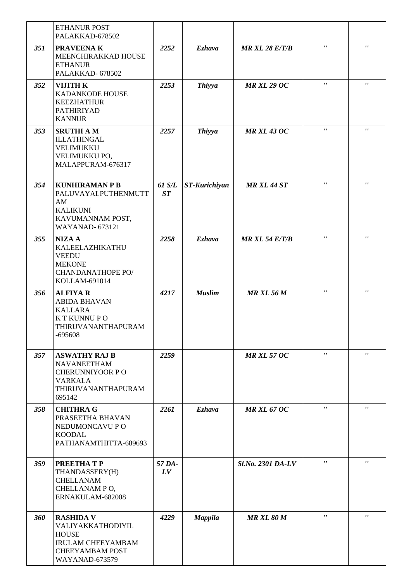|     | <b>ETHANUR POST</b><br>PALAKKAD-678502                                                                                        |              |                |                       |              |                    |
|-----|-------------------------------------------------------------------------------------------------------------------------------|--------------|----------------|-----------------------|--------------|--------------------|
| 351 | <b>PRAVEENAK</b><br>MEENCHIRAKKAD HOUSE<br><b>ETHANUR</b><br>PALAKKAD-678502                                                  | 2252         | <b>Ezhava</b>  | <b>MR XL 28 E/T/B</b> | $\mathbf{r}$ | $\pmb{\mathsf{r}}$ |
| 352 | <b>VIJITH K</b><br>KADANKODE HOUSE<br><b>KEEZHATHUR</b><br>PATHIRIYAD<br><b>KANNUR</b>                                        | 2253         | <b>Thiyya</b>  | <b>MR XL 29 OC</b>    | $\mathbf{r}$ | $\pmb{\mathsf{r}}$ |
| 353 | <b>SRUTHI AM</b><br><b>ILLATHINGAL</b><br>VELIMUKKU<br>VELIMUKKU PO,<br>MALAPPURAM-676317                                     | 2257         | <b>Thiyya</b>  | <b>MR XL 43 OC</b>    | $\mathbf{r}$ | $\pmb{\mathsf{r}}$ |
| 354 | <b>KUNHIRAMAN P B</b><br>PALUVAYALPUTHENMUTT<br>AM<br><b>KALIKUNI</b><br>KAVUMANNAM POST,<br><b>WAYANAD-673121</b>            | 61 S/L<br>ST | ST-Kurichiyan  | <b>MR XL 44 ST</b>    | $\mathbf{r}$ | $\pmb{\mathsf{r}}$ |
| 355 | <b>NIZA A</b><br>KALEELAZHIKATHU<br><b>VEEDU</b><br><b>MEKONE</b><br><b>CHANDANATHOPE PO/</b><br>KOLLAM-691014                | 2258         | <b>Ezhava</b>  | <b>MR XL 54 E/T/B</b> | $\mathbf{r}$ | $\mathbf{r}$       |
| 356 | <b>ALFIYAR</b><br><b>ABIDA BHAVAN</b><br><b>KALLARA</b><br>K T KUNNU P O<br>THIRUVANANTHAPURAM<br>-695608                     | 4217         | <b>Muslim</b>  | <b>MR XL 56 M</b>     | $\mathbf{r}$ | $\pmb{r}$          |
| 357 | <b>ASWATHY RAJ B</b><br><b>NAVANEETHAM</b><br><b>CHERUNNIYOOR PO</b><br>VARKALA<br>THIRUVANANTHAPURAM<br>695142               | 2259         |                | <b>MR XL 57 OC</b>    | $\mathbf{r}$ | $\mathbf{r}$       |
| 358 | <b>CHITHRA G</b><br>PRASEETHA BHAVAN<br>NEDUMONCAVU P O<br><b>KOODAL</b><br>PATHANAMTHITTA-689693                             | 2261         | <b>Ezhava</b>  | <b>MR XL 67 OC</b>    | $\mathbf{r}$ | $\mathbf{r}$       |
| 359 | PREETHATP<br>THANDASSERY(H)<br><b>CHELLANAM</b><br>CHELLANAM PO,<br>ERNAKULAM-682008                                          | 57 DA-<br>LV |                | Sl.No. 2301 DA-LV     | $\mathbf{r}$ | $\mathbf{r}$       |
| 360 | <b>RASHIDA V</b><br>VALIYAKKATHODIYIL<br><b>HOUSE</b><br><b>IRULAM CHEEYAMBAM</b><br><b>CHEEYAMBAM POST</b><br>WAYANAD-673579 | 4229         | <b>Mappila</b> | <b>MR XL 80 M</b>     | $\mathbf{r}$ | $\mathbf{r}$       |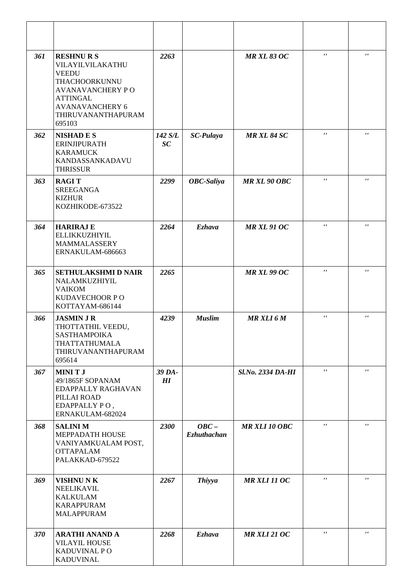| 361 | <b>RESHNURS</b><br>VILAYILVILAKATHU<br><b>VEEDU</b><br>THACHOORKUNNU<br><b>AVANAVANCHERY PO</b><br><b>ATTINGAL</b><br><b>AVANAVANCHERY 6</b><br>THIRUVANANTHAPURAM<br>695103 | 2263          |                               | <b>MR XL 83 OC</b>       | $\mathbf{r}$ $\mathbf{r}$ | $\pmb{r}$          |
|-----|------------------------------------------------------------------------------------------------------------------------------------------------------------------------------|---------------|-------------------------------|--------------------------|---------------------------|--------------------|
| 362 | <b>NISHADES</b><br><b>ERINJIPURATH</b><br><b>KARAMUCK</b><br>KANDASSANKADAVU<br><b>THRISSUR</b>                                                                              | 142 S/L<br>SC | <b>SC-Pulaya</b>              | <b>MR XL 84 SC</b>       | $\pmb{\mathsf{r}}$        | $\pmb{r}$          |
| 363 | <b>RAGIT</b><br><b>SREEGANGA</b><br><b>KIZHUR</b><br>KOZHIKODE-673522                                                                                                        | 2299          | <b>OBC-Saliya</b>             | <b>MR XL 90 OBC</b>      | $\mathbf{r}$              | $\pmb{r}$          |
| 364 | <b>HARIRAJ E</b><br>ELLIKKUZHIYIL<br>MAMMALASSERY<br>ERNAKULAM-686663                                                                                                        | 2264          | <b>Ezhava</b>                 | <b>MR XL 91 OC</b>       | $\pmb{\mathsf{r}}$        | $\pmb{\mathsf{r}}$ |
| 365 | <b>SETHULAKSHMI D NAIR</b><br>NALAMKUZHIYIL<br><b>VAIKOM</b><br>KUDAVECHOOR PO<br>KOTTAYAM-686144                                                                            | 2265          |                               | <b>MR XL 99 OC</b>       | $\mathbf{r}$              | $\pmb{r}$          |
| 366 | <b>JASMIN J R</b><br>THOTTATHIL VEEDU,<br>SASTHAMPOIKA<br>THATTATHUMALA<br>THIRUVANANTHAPURAM<br>695614                                                                      | 4239          | <b>Muslim</b>                 | <b>MR XLI 6 M</b>        | $\mathbf{r}$              | $\pmb{\mathsf{r}}$ |
| 367 | <b>MINITJ</b><br>49/1865F SOPANAM<br>EDAPPALLY RAGHAVAN<br>PILLAI ROAD<br>EDAPPALLY PO,<br>ERNAKULAM-682024                                                                  | 39 DA-<br>H   |                               | <b>Sl.No. 2334 DA-HI</b> | $\mathbf{r}$              | $\pmb{r}$          |
| 368 | <b>SALINIM</b><br>MEPPADATH HOUSE<br>VANIYAMKUALAM POST,<br><b>OTTAPALAM</b><br>PALAKKAD-679522                                                                              | 2300          | $OBC -$<br><b>Ezhuthachan</b> | <b>MR XLI 10 OBC</b>     | $\mathbf{r}$              | $\pmb{r}$          |
| 369 | <b>VISHNU NK</b><br><b>NEELIKAVIL</b><br><b>KALKULAM</b><br><b>KARAPPURAM</b><br><b>MALAPPURAM</b>                                                                           | 2267          | <b>Thiyya</b>                 | <b>MR XLI 11 OC</b>      | $\pmb{r}$ ,               | $\pmb{\mathsf{r}}$ |
| 370 | <b>ARATHI ANAND A</b><br><b>VILAYIL HOUSE</b><br>KADUVINAL PO<br><b>KADUVINAL</b>                                                                                            | 2268          | <b>Ezhava</b>                 | <b>MR XLI 21 OC</b>      | $\mathbf{r}$              | $\mathbf{r}$       |